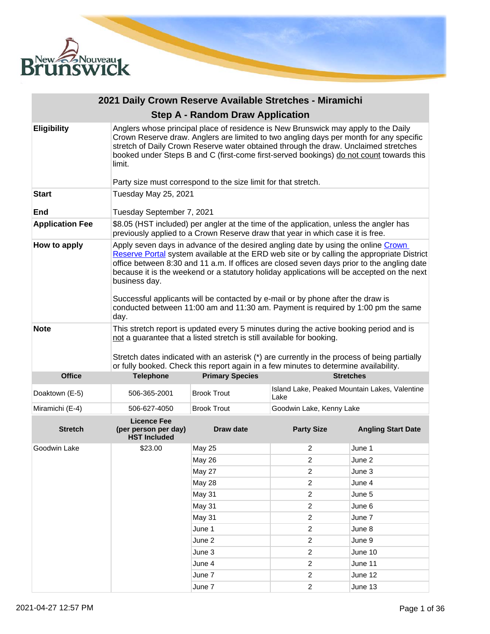

|                        | 2021 Daily Crown Reserve Available Stretches - Miramichi                                                                                                                                                                                                                                                                                                                                                                                                                                                                                                                    |                                                                                                                                                                          |                                                       |                           |  |
|------------------------|-----------------------------------------------------------------------------------------------------------------------------------------------------------------------------------------------------------------------------------------------------------------------------------------------------------------------------------------------------------------------------------------------------------------------------------------------------------------------------------------------------------------------------------------------------------------------------|--------------------------------------------------------------------------------------------------------------------------------------------------------------------------|-------------------------------------------------------|---------------------------|--|
|                        |                                                                                                                                                                                                                                                                                                                                                                                                                                                                                                                                                                             | <b>Step A - Random Draw Application</b>                                                                                                                                  |                                                       |                           |  |
| <b>Eligibility</b>     | Anglers whose principal place of residence is New Brunswick may apply to the Daily<br>Crown Reserve draw. Anglers are limited to two angling days per month for any specific<br>stretch of Daily Crown Reserve water obtained through the draw. Unclaimed stretches<br>booked under Steps B and C (first-come first-served bookings) do not count towards this<br>limit.                                                                                                                                                                                                    |                                                                                                                                                                          |                                                       |                           |  |
| <b>Start</b>           | Tuesday May 25, 2021                                                                                                                                                                                                                                                                                                                                                                                                                                                                                                                                                        | Party size must correspond to the size limit for that stretch.                                                                                                           |                                                       |                           |  |
|                        |                                                                                                                                                                                                                                                                                                                                                                                                                                                                                                                                                                             |                                                                                                                                                                          |                                                       |                           |  |
| End                    | Tuesday September 7, 2021                                                                                                                                                                                                                                                                                                                                                                                                                                                                                                                                                   |                                                                                                                                                                          |                                                       |                           |  |
| <b>Application Fee</b> |                                                                                                                                                                                                                                                                                                                                                                                                                                                                                                                                                                             | \$8.05 (HST included) per angler at the time of the application, unless the angler has<br>previously applied to a Crown Reserve draw that year in which case it is free. |                                                       |                           |  |
| How to apply           | Apply seven days in advance of the desired angling date by using the online Crown<br>Reserve Portal system available at the ERD web site or by calling the appropriate District<br>office between 8:30 and 11 a.m. If offices are closed seven days prior to the angling date<br>because it is the weekend or a statutory holiday applications will be accepted on the next<br>business day.<br>Successful applicants will be contacted by e-mail or by phone after the draw is<br>conducted between 11:00 am and 11:30 am. Payment is required by 1:00 pm the same<br>day. |                                                                                                                                                                          |                                                       |                           |  |
| <b>Note</b>            | This stretch report is updated every 5 minutes during the active booking period and is<br>not a guarantee that a listed stretch is still available for booking.<br>Stretch dates indicated with an asterisk (*) are currently in the process of being partially<br>or fully booked. Check this report again in a few minutes to determine availability.                                                                                                                                                                                                                     |                                                                                                                                                                          |                                                       |                           |  |
| <b>Office</b>          | <b>Telephone</b>                                                                                                                                                                                                                                                                                                                                                                                                                                                                                                                                                            | <b>Primary Species</b>                                                                                                                                                   |                                                       | <b>Stretches</b>          |  |
| Doaktown (E-5)         | 506-365-2001                                                                                                                                                                                                                                                                                                                                                                                                                                                                                                                                                                | <b>Brook Trout</b>                                                                                                                                                       | Island Lake, Peaked Mountain Lakes, Valentine<br>Lake |                           |  |
| Miramichi (E-4)        | 506-627-4050                                                                                                                                                                                                                                                                                                                                                                                                                                                                                                                                                                | <b>Brook Trout</b>                                                                                                                                                       | Goodwin Lake, Kenny Lake                              |                           |  |
| <b>Stretch</b>         | <b>Licence Fee</b><br>(per person per day)<br><b>HST Included</b>                                                                                                                                                                                                                                                                                                                                                                                                                                                                                                           | Draw date                                                                                                                                                                | <b>Party Size</b>                                     | <b>Angling Start Date</b> |  |
| Goodwin Lake           | \$23.00                                                                                                                                                                                                                                                                                                                                                                                                                                                                                                                                                                     | <b>May 25</b>                                                                                                                                                            | 2                                                     | June 1                    |  |
|                        |                                                                                                                                                                                                                                                                                                                                                                                                                                                                                                                                                                             | May 26                                                                                                                                                                   | 2                                                     | June 2                    |  |
|                        |                                                                                                                                                                                                                                                                                                                                                                                                                                                                                                                                                                             | <b>May 27</b>                                                                                                                                                            | $\overline{c}$                                        | June 3                    |  |
|                        |                                                                                                                                                                                                                                                                                                                                                                                                                                                                                                                                                                             | May 28                                                                                                                                                                   | $\boldsymbol{2}$                                      | June 4                    |  |
|                        |                                                                                                                                                                                                                                                                                                                                                                                                                                                                                                                                                                             | <b>May 31</b>                                                                                                                                                            | $\boldsymbol{2}$                                      | June 5                    |  |
|                        |                                                                                                                                                                                                                                                                                                                                                                                                                                                                                                                                                                             | May 31                                                                                                                                                                   | $\overline{c}$                                        | June 6                    |  |
|                        |                                                                                                                                                                                                                                                                                                                                                                                                                                                                                                                                                                             | May 31                                                                                                                                                                   | $\overline{\mathbf{c}}$                               | June 7                    |  |
|                        |                                                                                                                                                                                                                                                                                                                                                                                                                                                                                                                                                                             | June 1                                                                                                                                                                   | $\overline{c}$                                        | June 8                    |  |
|                        |                                                                                                                                                                                                                                                                                                                                                                                                                                                                                                                                                                             | June 2                                                                                                                                                                   | $\sqrt{2}$                                            | June 9                    |  |
|                        |                                                                                                                                                                                                                                                                                                                                                                                                                                                                                                                                                                             | June 3                                                                                                                                                                   | $\overline{c}$                                        | June 10                   |  |
|                        |                                                                                                                                                                                                                                                                                                                                                                                                                                                                                                                                                                             | June 4                                                                                                                                                                   | $\boldsymbol{2}$                                      | June 11                   |  |
|                        |                                                                                                                                                                                                                                                                                                                                                                                                                                                                                                                                                                             | June 7                                                                                                                                                                   | $\overline{c}$                                        | June 12                   |  |
|                        |                                                                                                                                                                                                                                                                                                                                                                                                                                                                                                                                                                             | June 7                                                                                                                                                                   | $\overline{c}$                                        | June 13                   |  |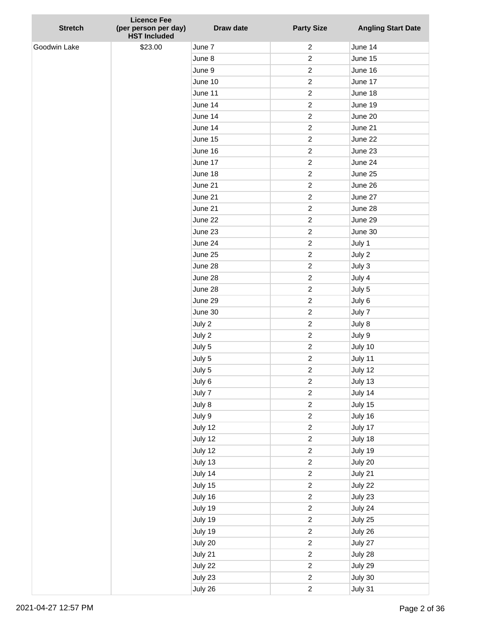| <b>Stretch</b> | <b>Licence Fee</b><br>(per person per day)<br><b>HST Included</b> | Draw date | <b>Party Size</b> | <b>Angling Start Date</b> |
|----------------|-------------------------------------------------------------------|-----------|-------------------|---------------------------|
| Goodwin Lake   | \$23.00                                                           | June 7    | $\overline{c}$    | June 14                   |
|                |                                                                   | June 8    | $\overline{c}$    | June 15                   |
|                |                                                                   | June 9    | $\overline{c}$    | June 16                   |
|                |                                                                   | June 10   | $\overline{c}$    | June 17                   |
|                |                                                                   | June 11   | $\overline{c}$    | June 18                   |
|                |                                                                   | June 14   | $\boldsymbol{2}$  | June 19                   |
|                |                                                                   | June 14   | $\overline{c}$    | June 20                   |
|                |                                                                   | June 14   | $\overline{c}$    | June 21                   |
|                |                                                                   | June 15   | $\boldsymbol{2}$  | June 22                   |
|                |                                                                   | June 16   | $\overline{c}$    | June 23                   |
|                |                                                                   | June 17   | $\overline{c}$    | June 24                   |
|                |                                                                   | June 18   | 2                 | June 25                   |
|                |                                                                   | June 21   | $\overline{c}$    | June 26                   |
|                |                                                                   | June 21   | $\overline{c}$    | June 27                   |
|                |                                                                   | June 21   | 2                 | June 28                   |
|                |                                                                   | June 22   | $\overline{c}$    | June 29                   |
|                |                                                                   | June 23   | 2                 | June 30                   |
|                |                                                                   | June 24   | $\overline{c}$    | July 1                    |
|                |                                                                   | June 25   | $\overline{c}$    | July 2                    |
|                |                                                                   | June 28   | $\overline{c}$    | July 3                    |
|                |                                                                   | June 28   | $\boldsymbol{2}$  | July 4                    |
|                |                                                                   | June 28   | 2                 | July 5                    |
|                |                                                                   | June 29   | $\overline{c}$    | July 6                    |
|                |                                                                   | June 30   | $\overline{c}$    | July 7                    |
|                |                                                                   | July 2    | $\overline{c}$    | July 8                    |
|                |                                                                   | July 2    | $\overline{c}$    | July 9                    |
|                |                                                                   | July 5    | $\overline{c}$    | July 10                   |
|                |                                                                   | July 5    | 2                 | July 11                   |
|                |                                                                   | July 5    | 2                 | July 12                   |
|                |                                                                   | July 6    | $\boldsymbol{2}$  | July 13                   |
|                |                                                                   | July 7    | $\sqrt{2}$        | July 14                   |
|                |                                                                   | July 8    | $\overline{c}$    | July 15                   |
|                |                                                                   | July 9    | $\mathbf 2$       | July 16                   |
|                |                                                                   | July 12   | $\sqrt{2}$        | July 17                   |
|                |                                                                   | July 12   | $\overline{c}$    | July 18                   |
|                |                                                                   | July 12   | $\sqrt{2}$        | July 19                   |
|                |                                                                   | July 13   | $\overline{c}$    | July 20                   |
|                |                                                                   | July 14   | $\sqrt{2}$        | July 21                   |
|                |                                                                   | July 15   | $\overline{c}$    | July 22                   |
|                |                                                                   | July 16   | $\overline{c}$    | July 23                   |
|                |                                                                   | July 19   | $\sqrt{2}$        | July 24                   |
|                |                                                                   | July 19   | $\overline{c}$    | July 25                   |
|                |                                                                   | July 19   | $\mathbf 2$       | July 26                   |
|                |                                                                   | July 20   | $\sqrt{2}$        | July 27                   |
|                |                                                                   | July 21   | $\boldsymbol{2}$  | July 28                   |
|                |                                                                   | July 22   | $\sqrt{2}$        | July 29                   |
|                |                                                                   | July 23   | $\boldsymbol{2}$  | July 30                   |
|                |                                                                   | July 26   | $\overline{c}$    | July 31                   |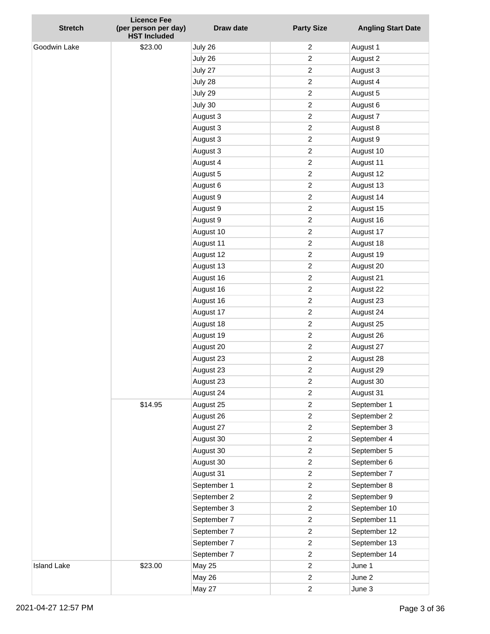| <b>Stretch</b>     | <b>Licence Fee</b><br>(per person per day)<br><b>HST Included</b> | Draw date     | <b>Party Size</b> | <b>Angling Start Date</b> |
|--------------------|-------------------------------------------------------------------|---------------|-------------------|---------------------------|
| Goodwin Lake       | \$23.00                                                           | July 26       | $\overline{2}$    | August 1                  |
|                    |                                                                   | July 26       | $\overline{c}$    | August 2                  |
|                    |                                                                   | July 27       | $\overline{c}$    | August 3                  |
|                    |                                                                   | July 28       | $\overline{c}$    | August 4                  |
|                    |                                                                   | July 29       | 2                 | August 5                  |
|                    |                                                                   | July 30       | $\overline{c}$    | August 6                  |
|                    |                                                                   | August 3      | 2                 | August 7                  |
|                    |                                                                   | August 3      | $\overline{c}$    | August 8                  |
|                    |                                                                   | August 3      | $\overline{c}$    | August 9                  |
|                    |                                                                   | August 3      | $\overline{c}$    | August 10                 |
|                    |                                                                   | August 4      | $\overline{c}$    | August 11                 |
|                    |                                                                   | August 5      | 2                 | August 12                 |
|                    |                                                                   | August 6      | $\overline{c}$    | August 13                 |
|                    |                                                                   | August 9      | $\boldsymbol{2}$  | August 14                 |
|                    |                                                                   | August 9      | 2                 | August 15                 |
|                    |                                                                   | August 9      | $\overline{c}$    | August 16                 |
|                    |                                                                   | August 10     | 2                 | August 17                 |
|                    |                                                                   | August 11     | $\overline{c}$    | August 18                 |
|                    |                                                                   | August 12     | $\overline{c}$    | August 19                 |
|                    |                                                                   | August 13     | 2                 | August 20                 |
|                    |                                                                   | August 16     | $\overline{c}$    | August 21                 |
|                    |                                                                   | August 16     | 2                 | August 22                 |
|                    |                                                                   | August 16     | $\overline{c}$    | August 23                 |
|                    |                                                                   | August 17     | $\overline{c}$    | August 24                 |
|                    |                                                                   | August 18     | $\overline{c}$    | August 25                 |
|                    |                                                                   | August 19     | $\overline{c}$    | August 26                 |
|                    |                                                                   | August 20     | $\boldsymbol{2}$  | August 27                 |
|                    | \$14.95                                                           | August 23     | $\boldsymbol{2}$  | August 28                 |
|                    |                                                                   | August 23     | 2                 | August 29                 |
|                    |                                                                   | August 23     | $\sqrt{2}$        | August 30                 |
|                    |                                                                   | August 24     | $\overline{c}$    | August 31                 |
|                    |                                                                   | August 25     | $\overline{c}$    | September 1               |
|                    |                                                                   | August 26     | $\overline{c}$    | September 2               |
|                    |                                                                   | August 27     | $\boldsymbol{2}$  | September 3               |
|                    |                                                                   | August 30     | $\overline{c}$    | September 4               |
|                    |                                                                   | August 30     | $\overline{c}$    | September 5               |
|                    |                                                                   | August 30     | $\overline{c}$    | September 6               |
|                    |                                                                   | August 31     | $\overline{c}$    | September 7               |
|                    |                                                                   | September 1   | $\overline{c}$    | September 8               |
|                    |                                                                   | September 2   | $\overline{c}$    | September 9               |
|                    |                                                                   | September 3   | $\overline{c}$    | September 10              |
|                    |                                                                   | September 7   | $\overline{c}$    | September 11              |
|                    |                                                                   | September 7   | $\overline{c}$    | September 12              |
|                    |                                                                   | September 7   | $\overline{c}$    | September 13              |
|                    |                                                                   | September 7   | $\overline{c}$    | September 14              |
| <b>Island Lake</b> | \$23.00                                                           | <b>May 25</b> | $\overline{c}$    | June 1                    |
|                    |                                                                   | <b>May 26</b> | $\overline{c}$    | June 2                    |
|                    |                                                                   | <b>May 27</b> | $\overline{c}$    | June 3                    |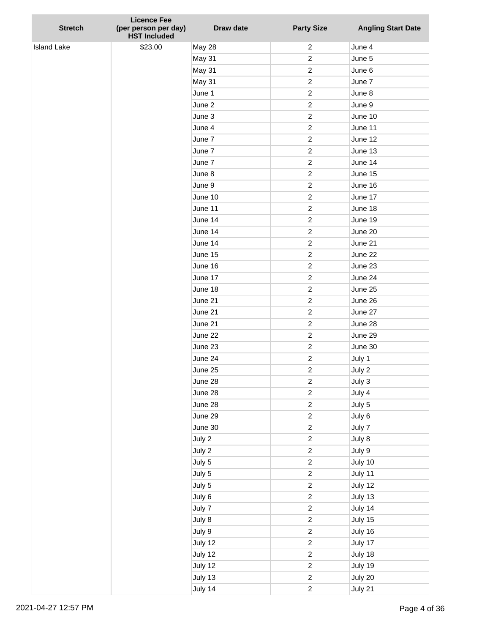| <b>Stretch</b>     | <b>Licence Fee</b><br>(per person per day) | Draw date     | <b>Party Size</b> | <b>Angling Start Date</b> |
|--------------------|--------------------------------------------|---------------|-------------------|---------------------------|
|                    | <b>HST Included</b>                        |               |                   |                           |
| <b>Island Lake</b> | \$23.00                                    | <b>May 28</b> | $\overline{c}$    | June 4                    |
|                    |                                            | May 31        | $\boldsymbol{2}$  | June 5                    |
|                    |                                            | May 31        | $\boldsymbol{2}$  | June 6                    |
|                    |                                            | May 31        | $\boldsymbol{2}$  | June 7                    |
|                    |                                            | June 1        | $\boldsymbol{2}$  | June 8                    |
|                    |                                            | June 2        | $\overline{c}$    | June 9                    |
|                    |                                            | June 3        | $\boldsymbol{2}$  | June 10                   |
|                    |                                            | June 4        | $\boldsymbol{2}$  | June 11                   |
|                    |                                            | June 7        | $\boldsymbol{2}$  | June 12                   |
|                    |                                            | June 7        | $\boldsymbol{2}$  | June 13                   |
|                    |                                            | June 7        | $\overline{c}$    | June 14                   |
|                    |                                            | June 8        | $\boldsymbol{2}$  | June 15                   |
|                    |                                            | June 9        | $\boldsymbol{2}$  | June 16                   |
|                    |                                            | June 10       | $\boldsymbol{2}$  | June 17                   |
|                    |                                            | June 11       | $\boldsymbol{2}$  | June 18                   |
|                    |                                            | June 14       | $\overline{c}$    | June 19                   |
|                    |                                            | June 14       | $\boldsymbol{2}$  | June 20                   |
|                    |                                            | June 14       | $\boldsymbol{2}$  | June 21                   |
|                    |                                            | June 15       | $\boldsymbol{2}$  | June 22                   |
|                    |                                            | June 16       | $\boldsymbol{2}$  | June 23                   |
|                    |                                            | June 17       | $\overline{c}$    | June 24                   |
|                    |                                            | June 18       | $\boldsymbol{2}$  | June 25                   |
|                    |                                            | June 21       | $\boldsymbol{2}$  | June 26                   |
|                    |                                            | June 21       | $\boldsymbol{2}$  | June 27                   |
|                    |                                            | June 21       | $\boldsymbol{2}$  | June 28                   |
|                    |                                            | June 22       | $\overline{c}$    | June 29                   |
|                    |                                            | June 23       | $\boldsymbol{2}$  | June 30                   |
|                    |                                            | June 24       | $\overline{c}$    | July 1                    |
|                    |                                            | June 25       | $\boldsymbol{2}$  | July 2                    |
|                    |                                            | June 28       | $\boldsymbol{2}$  | July 3                    |
|                    |                                            | June 28       | $\sqrt{2}$        | July 4                    |
|                    |                                            | June 28       | $\boldsymbol{2}$  | July 5                    |
|                    |                                            | June 29       | $\overline{c}$    | July 6                    |
|                    |                                            | June 30       | $\overline{c}$    | July 7                    |
|                    |                                            | July 2        | $\overline{c}$    | July 8                    |
|                    |                                            | July 2        | $\boldsymbol{2}$  | July 9                    |
|                    |                                            | July 5        | $\boldsymbol{2}$  | July 10                   |
|                    |                                            | July 5        | $\mathbf 2$       | July 11                   |
|                    |                                            | July 5        | $\mathbf 2$       | July 12                   |
|                    |                                            | July 6        | $\overline{c}$    | July 13                   |
|                    |                                            | July 7        | $\boldsymbol{2}$  | July 14                   |
|                    |                                            | July 8        | $\boldsymbol{2}$  | July 15                   |
|                    |                                            | July 9        | $\overline{c}$    | July 16                   |
|                    |                                            | July 12       | $\sqrt{2}$        | July 17                   |
|                    |                                            | July 12       | $\overline{c}$    | July 18                   |
|                    |                                            | July 12       | $\boldsymbol{2}$  | July 19                   |
|                    |                                            | July 13       | $\sqrt{2}$        | July 20                   |
|                    |                                            | July 14       | $\overline{c}$    | July 21                   |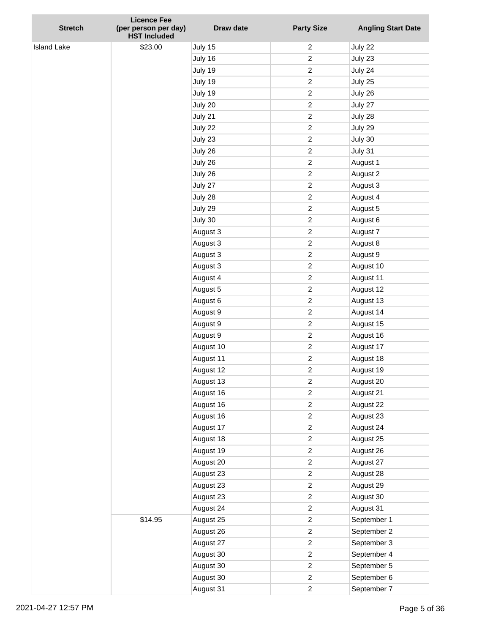| <b>Stretch</b>     | <b>Licence Fee</b><br>(per person per day) | Draw date          | <b>Party Size</b>                | <b>Angling Start Date</b> |
|--------------------|--------------------------------------------|--------------------|----------------------------------|---------------------------|
|                    | <b>HST Included</b>                        |                    |                                  |                           |
| <b>Island Lake</b> | \$23.00                                    | July 15            | $\overline{2}$<br>$\overline{c}$ | July 22                   |
|                    |                                            | July 16<br>July 19 | $\overline{2}$                   | July 23                   |
|                    |                                            |                    | $\overline{2}$                   | July 24                   |
|                    |                                            | July 19<br>July 19 | $\overline{c}$                   | July 25<br>July 26        |
|                    |                                            |                    | $\overline{c}$                   |                           |
|                    |                                            | July 20<br>July 21 | $\overline{c}$                   | July 27<br>July 28        |
|                    |                                            | July 22            | $\overline{c}$                   | July 29                   |
|                    |                                            | July 23            | $\overline{c}$                   | July 30                   |
|                    |                                            | July 26            | $\overline{c}$                   | July 31                   |
|                    |                                            | July 26            | $\overline{c}$                   | August 1                  |
|                    |                                            | July 26            | $\overline{c}$                   | August 2                  |
|                    |                                            | July 27            | $\overline{2}$                   | August 3                  |
|                    |                                            | July 28            | $\overline{2}$                   | August 4                  |
|                    |                                            | July 29            | $\overline{c}$                   | August 5                  |
|                    |                                            | July 30            | $\overline{c}$                   | August 6                  |
|                    |                                            | August 3           | $\overline{c}$                   | August 7                  |
|                    |                                            | August 3           | $\overline{2}$                   | August 8                  |
|                    |                                            | August 3           | $\overline{c}$                   | August 9                  |
|                    |                                            | August 3           | $\overline{c}$                   | August 10                 |
|                    |                                            | August 4           | $\overline{c}$                   | August 11                 |
|                    |                                            | August 5           | $\overline{c}$                   | August 12                 |
|                    |                                            | August 6           | $\overline{2}$                   | August 13                 |
|                    |                                            | August 9           | $\overline{2}$                   | August 14                 |
|                    |                                            | August 9           | $\overline{c}$                   | August 15                 |
|                    |                                            | August 9           | $\overline{c}$                   | August 16                 |
|                    |                                            | August 10          | $\overline{c}$                   | August 17                 |
|                    |                                            | August 11          | $\overline{c}$                   | August 18                 |
|                    |                                            | August 12          | $\overline{c}$                   | August 19                 |
|                    |                                            | August 13          | $\boldsymbol{2}$                 | August 20                 |
|                    |                                            | August 16          | $\overline{c}$                   | August 21                 |
|                    |                                            | August 16          | $\overline{c}$                   | August 22                 |
|                    |                                            | August 16          | $\overline{c}$                   | August 23                 |
|                    |                                            | August 17          | $\overline{2}$                   | August 24                 |
|                    |                                            | August 18          | $\overline{c}$                   | August 25                 |
|                    |                                            | August 19          | $\overline{c}$                   | August 26                 |
|                    |                                            | August 20          | $\overline{c}$                   | August 27                 |
|                    |                                            | August 23          | $\overline{c}$                   | August 28                 |
|                    |                                            | August 23          | $\overline{c}$                   | August 29                 |
|                    |                                            | August 23          | $\overline{c}$                   | August 30                 |
|                    |                                            | August 24          | $\overline{c}$                   | August 31                 |
|                    | \$14.95                                    | August 25          | $\overline{c}$                   | September 1               |
|                    |                                            | August 26          | $\overline{c}$                   | September 2               |
|                    |                                            | August 27          | $\overline{c}$                   | September 3               |
|                    |                                            | August 30          | $\overline{c}$                   | September 4               |
|                    |                                            | August 30          | $\overline{c}$                   | September 5               |
|                    |                                            | August 30          | $\overline{c}$                   | September 6               |
|                    |                                            | August 31          | $\overline{c}$                   | September 7               |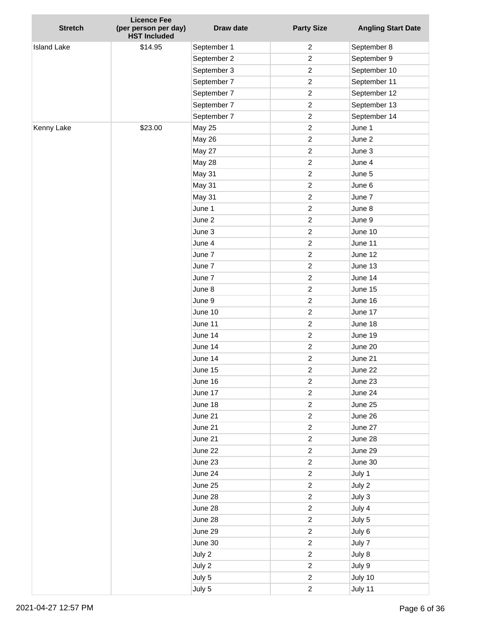| <b>Stretch</b>     | <b>Licence Fee</b><br>(per person per day)<br><b>HST Included</b> | Draw date     | <b>Party Size</b> | <b>Angling Start Date</b> |
|--------------------|-------------------------------------------------------------------|---------------|-------------------|---------------------------|
| <b>Island Lake</b> | \$14.95                                                           | September 1   | 2                 | September 8               |
|                    |                                                                   | September 2   | $\overline{c}$    | September 9               |
|                    |                                                                   | September 3   | $\overline{c}$    | September 10              |
|                    |                                                                   | September 7   | $\overline{c}$    | September 11              |
|                    |                                                                   | September 7   | $\overline{c}$    | September 12              |
|                    |                                                                   | September 7   | $\overline{c}$    | September 13              |
|                    |                                                                   | September 7   | $\overline{c}$    | September 14              |
| Kenny Lake         | \$23.00                                                           | <b>May 25</b> | $\overline{c}$    | June 1                    |
|                    |                                                                   | <b>May 26</b> | $\overline{2}$    | June 2                    |
|                    |                                                                   | May 27        | $\overline{c}$    | June 3                    |
|                    |                                                                   | May 28        | $\overline{c}$    | June 4                    |
|                    |                                                                   | May 31        | $\overline{c}$    | June 5                    |
|                    |                                                                   | May 31        | $\overline{c}$    | June 6                    |
|                    |                                                                   | May 31        | $\overline{c}$    | June 7                    |
|                    |                                                                   | June 1        | $\overline{c}$    | June 8                    |
|                    |                                                                   | June 2        | $\overline{c}$    | June 9                    |
|                    |                                                                   | June 3        | $\overline{c}$    | June 10                   |
|                    |                                                                   | June 4        | $\overline{c}$    | June 11                   |
|                    |                                                                   | June 7        | $\overline{2}$    | June 12                   |
|                    |                                                                   | June 7        | $\overline{c}$    | June 13                   |
|                    |                                                                   | June 7        | $\overline{c}$    | June 14                   |
|                    |                                                                   | June 8        | $\overline{c}$    | June 15                   |
|                    |                                                                   | June 9        | $\overline{c}$    | June 16                   |
|                    |                                                                   | June 10       | $\overline{c}$    | June 17                   |
|                    |                                                                   | June 11       | $\overline{c}$    | June 18                   |
|                    |                                                                   | June 14       | $\overline{c}$    | June 19                   |
|                    |                                                                   | June 14       | $\overline{c}$    | June 20                   |
|                    |                                                                   | June 14       | $\overline{c}$    | June 21                   |
|                    |                                                                   | June 15       | 2                 | June 22                   |
|                    |                                                                   | June 16       | $\boldsymbol{2}$  | June 23                   |
|                    |                                                                   | June 17       | $\boldsymbol{2}$  | June 24                   |
|                    |                                                                   | June 18       | $\overline{c}$    | June 25                   |
|                    |                                                                   | June 21       | $\overline{c}$    | June 26                   |
|                    |                                                                   | June 21       | $\overline{c}$    | June 27                   |
|                    |                                                                   | June 21       | $\overline{c}$    | June 28                   |
|                    |                                                                   | June 22       | $\overline{c}$    | June 29                   |
|                    |                                                                   | June 23       | $\overline{c}$    | June 30                   |
|                    |                                                                   | June 24       | $\overline{c}$    | July 1                    |
|                    |                                                                   | June 25       | $\overline{c}$    | July 2                    |
|                    |                                                                   | June 28       | $\overline{c}$    | July 3                    |
|                    |                                                                   | June 28       | $\overline{c}$    | July 4                    |
|                    |                                                                   | June 28       | $\overline{c}$    | July 5                    |
|                    |                                                                   | June 29       | $\overline{c}$    | July 6                    |
|                    |                                                                   | June 30       | $\overline{c}$    | July 7                    |
|                    |                                                                   | July 2        | $\overline{c}$    | July 8                    |
|                    |                                                                   | July 2        | $\boldsymbol{2}$  | July 9                    |
|                    |                                                                   | July 5        | $\overline{c}$    | July 10                   |
|                    |                                                                   | July 5        | $\overline{c}$    | July 11                   |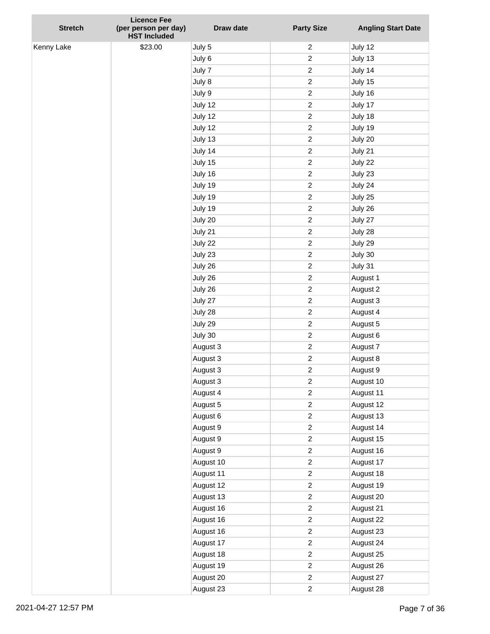| <b>Stretch</b> | <b>Licence Fee</b><br>(per person per day)<br><b>HST Included</b> | Draw date | <b>Party Size</b> | <b>Angling Start Date</b> |
|----------------|-------------------------------------------------------------------|-----------|-------------------|---------------------------|
| Kenny Lake     | \$23.00                                                           | July 5    | $\overline{c}$    | July 12                   |
|                |                                                                   | July 6    | $\boldsymbol{2}$  | July 13                   |
|                |                                                                   | July 7    | $\overline{c}$    | July 14                   |
|                |                                                                   | July 8    | $\overline{c}$    | July 15                   |
|                |                                                                   | July 9    | $\boldsymbol{2}$  | July 16                   |
|                |                                                                   | July 12   | $\overline{c}$    | July 17                   |
|                |                                                                   | July 12   | $\boldsymbol{2}$  | July 18                   |
|                |                                                                   | July 12   | $\overline{c}$    | July 19                   |
|                |                                                                   | July 13   | $\overline{c}$    | July 20                   |
|                |                                                                   | July 14   | $\overline{c}$    | July 21                   |
|                |                                                                   | July 15   | $\overline{c}$    | July 22                   |
|                |                                                                   | July 16   | $\overline{c}$    | July 23                   |
|                |                                                                   | July 19   | $\overline{c}$    | July 24                   |
|                |                                                                   | July 19   | $\overline{c}$    | July 25                   |
|                |                                                                   | July 19   | $\overline{c}$    | July 26                   |
|                |                                                                   | July 20   | $\overline{c}$    | July 27                   |
|                |                                                                   | July 21   | $\overline{c}$    | July 28                   |
|                |                                                                   | July 22   | $\overline{c}$    | July 29                   |
|                |                                                                   | July 23   | $\overline{c}$    | July 30                   |
|                |                                                                   | July 26   | $\overline{c}$    | July 31                   |
|                |                                                                   | July 26   | $\overline{c}$    | August 1                  |
|                |                                                                   | July 26   | $\overline{c}$    | August 2                  |
|                |                                                                   | July 27   | $\overline{c}$    | August 3                  |
|                |                                                                   | July 28   | $\overline{c}$    | August 4                  |
|                |                                                                   | July 29   | $\boldsymbol{2}$  | August 5                  |
|                |                                                                   | July 30   | $\overline{c}$    | August 6                  |
|                |                                                                   | August 3  | $\overline{c}$    | August 7                  |
|                |                                                                   | August 3  | $\overline{c}$    | August 8                  |
|                |                                                                   | August 3  | $\overline{c}$    | August 9                  |
|                |                                                                   | August 3  | $\overline{c}$    | August 10                 |
|                |                                                                   | August 4  | $\overline{c}$    | August 11                 |
|                |                                                                   | August 5  | $\overline{c}$    | August 12                 |
|                |                                                                   | August 6  | $\overline{c}$    | August 13                 |
|                |                                                                   | August 9  | $\overline{c}$    | August 14                 |
|                |                                                                   | August 9  | $\overline{c}$    | August 15                 |
|                |                                                                   | August 9  | $\overline{c}$    | August 16                 |
|                |                                                                   | August 10 | $\overline{c}$    | August 17                 |
|                |                                                                   | August 11 | $\overline{c}$    | August 18                 |
|                |                                                                   | August 12 | $\overline{c}$    | August 19                 |
|                |                                                                   | August 13 | $\overline{c}$    | August 20                 |
|                |                                                                   | August 16 | $\overline{c}$    | August 21                 |
|                |                                                                   | August 16 | $\overline{c}$    | August 22                 |
|                |                                                                   | August 16 | $\overline{c}$    | August 23                 |
|                |                                                                   | August 17 | $\overline{c}$    | August 24                 |
|                |                                                                   | August 18 | $\overline{c}$    | August 25                 |
|                |                                                                   | August 19 | $\overline{c}$    | August 26                 |
|                |                                                                   | August 20 | $\overline{c}$    | August 27                 |
|                |                                                                   | August 23 | $\overline{c}$    | August 28                 |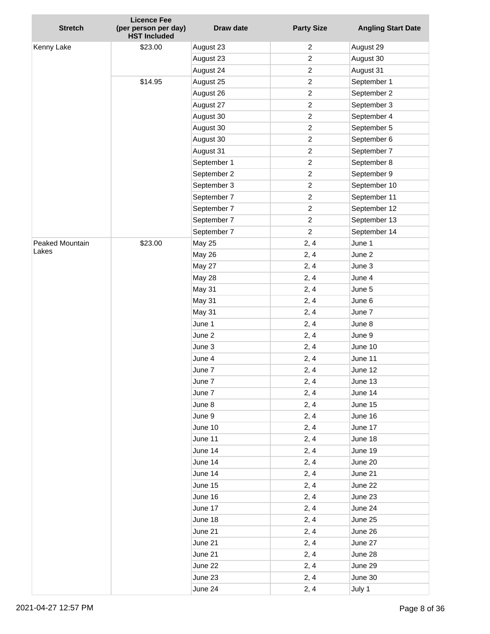| <b>Stretch</b>  | <b>Licence Fee</b><br>(per person per day)<br><b>HST Included</b> | Draw date          | <b>Party Size</b> | <b>Angling Start Date</b> |
|-----------------|-------------------------------------------------------------------|--------------------|-------------------|---------------------------|
| Kenny Lake      | \$23.00                                                           | August 23          | $\overline{c}$    | August 29                 |
|                 |                                                                   | August 23          | $\overline{c}$    | August 30                 |
|                 |                                                                   | August 24          | $\overline{c}$    | August 31                 |
|                 | \$14.95                                                           | August 25          | $\overline{c}$    | September 1               |
|                 |                                                                   | August 26          | $\boldsymbol{2}$  | September 2               |
|                 |                                                                   | August 27          | $\overline{c}$    | September 3               |
|                 |                                                                   | August 30          | $\boldsymbol{2}$  | September 4               |
|                 |                                                                   | August 30          | $\boldsymbol{2}$  | September 5               |
|                 |                                                                   | August 30          | $\boldsymbol{2}$  | September 6               |
|                 |                                                                   | August 31          | $\boldsymbol{2}$  | September 7               |
|                 |                                                                   | September 1        | $\overline{c}$    | September 8               |
|                 |                                                                   | September 2        | $\boldsymbol{2}$  | September 9               |
|                 |                                                                   | September 3        | $\overline{c}$    | September 10              |
|                 |                                                                   | September 7        | $\overline{c}$    | September 11              |
|                 |                                                                   | September 7        | $\overline{c}$    | September 12              |
|                 |                                                                   | September 7        | $\overline{c}$    | September 13              |
|                 |                                                                   | September 7        | $\boldsymbol{2}$  | September 14              |
| Peaked Mountain | \$23.00                                                           | <b>May 25</b>      | 2, 4              | June 1                    |
| Lakes           |                                                                   | May 26             | 2, 4              | June 2                    |
|                 |                                                                   | May 27             | 2, 4              | June 3                    |
|                 |                                                                   | May 28             | 2, 4              | June 4                    |
|                 |                                                                   | May 31             | 2, 4              | June 5                    |
|                 |                                                                   | May 31             | 2, 4              | June 6                    |
|                 |                                                                   | May 31             | 2, 4              | June 7                    |
|                 |                                                                   | June 1             | 2, 4              | June 8                    |
|                 |                                                                   | June 2             | 2, 4              | June 9                    |
|                 |                                                                   | June 3             | 2, 4              | June 10                   |
|                 |                                                                   | June 4             | 2, 4              | June 11                   |
|                 |                                                                   | June 7             | 2, 4              | June 12                   |
|                 |                                                                   | June 7             | 2, 4              | June 13                   |
|                 |                                                                   | June 7             | 2, 4              | June 14                   |
|                 |                                                                   | June 8             | 2, 4              | June 15                   |
|                 |                                                                   | June 9             | 2, 4              | June 16                   |
|                 |                                                                   | June 10            | 2, 4              | June 17                   |
|                 |                                                                   | June 11            | 2, 4              | June 18                   |
|                 |                                                                   | June 14            | 2, 4              | June 19                   |
|                 |                                                                   | June 14            | 2, 4              | June 20                   |
|                 |                                                                   | June 14            | 2, 4              | June 21                   |
|                 |                                                                   | June 15            | 2, 4              | June 22                   |
|                 |                                                                   | June 16            | 2, 4              | June 23                   |
|                 |                                                                   | June 17            | 2, 4              | June 24                   |
|                 |                                                                   | June 18            | 2, 4              | June 25                   |
|                 |                                                                   | June 21            | 2, 4              | June 26                   |
|                 |                                                                   | June 21            | 2, 4              | June 27                   |
|                 |                                                                   | June 21            | 2, 4              | June 28                   |
|                 |                                                                   | June 22<br>June 23 | 2, 4<br>2, 4      | June 29<br>June 30        |
|                 |                                                                   | June 24            | 2, 4              | July 1                    |
|                 |                                                                   |                    |                   |                           |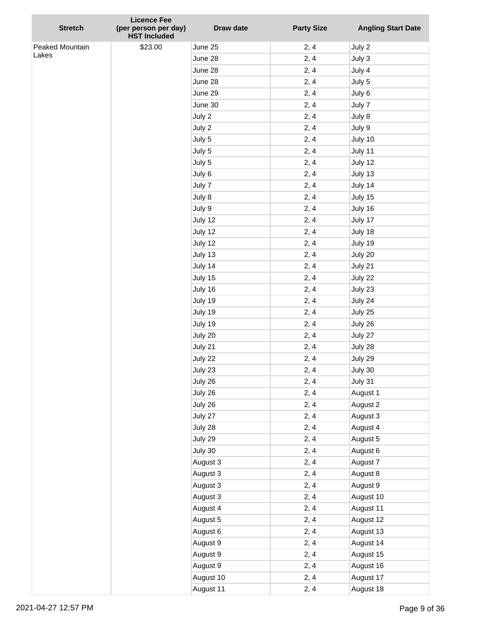|                 | <b>Licence Fee</b>                          |           |                   |                           |
|-----------------|---------------------------------------------|-----------|-------------------|---------------------------|
| <b>Stretch</b>  | (per person per day)<br><b>HST Included</b> | Draw date | <b>Party Size</b> | <b>Angling Start Date</b> |
| Peaked Mountain | \$23.00                                     | June 25   | 2, 4              | July 2                    |
| Lakes           |                                             | June 28   | 2, 4              | July 3                    |
|                 |                                             | June 28   | 2, 4              | July 4                    |
|                 |                                             | June 28   | 2, 4              | July 5                    |
|                 |                                             | June 29   | 2, 4              | July 6                    |
|                 |                                             | June 30   | 2, 4              | July 7                    |
|                 |                                             | July 2    | 2, 4              | July 8                    |
|                 |                                             | July 2    | 2, 4              | July 9                    |
|                 |                                             | July 5    | 2, 4              | July 10                   |
|                 |                                             | July 5    | 2, 4              | July 11                   |
|                 |                                             | July 5    | 2, 4              | July 12                   |
|                 |                                             | July 6    | 2, 4              | July 13                   |
|                 |                                             | July 7    | 2, 4              | July 14                   |
|                 |                                             | July 8    | 2, 4              | July 15                   |
|                 |                                             | July 9    | 2, 4              | July 16                   |
|                 |                                             | July 12   | 2, 4              | July 17                   |
|                 |                                             | July 12   | 2, 4              | July 18                   |
|                 |                                             | July 12   | 2, 4              | July 19                   |
|                 |                                             | July 13   | 2, 4              | July 20                   |
|                 |                                             | July 14   | 2, 4              | July 21                   |
|                 |                                             | July 15   | 2, 4              | July 22                   |
|                 |                                             | July 16   | 2, 4              | July 23                   |
|                 |                                             | July 19   | 2, 4              | July 24                   |
|                 |                                             | July 19   | 2, 4              | July 25                   |
|                 |                                             | July 19   | 2, 4              | July 26                   |
|                 |                                             | July 20   | 2, 4              | July 27                   |
|                 |                                             | July 21   | 2, 4              | July 28                   |
|                 |                                             | July 22   | 2, 4              | July 29                   |
|                 |                                             | July 23   | 2, 4              | July 30                   |
|                 |                                             | July 26   | 2, 4              | July 31                   |
|                 |                                             | July 26   | 2, 4              | August 1                  |
|                 |                                             | July 26   | 2, 4              | August 2                  |
|                 |                                             | July 27   | 2, 4              | August 3                  |
|                 |                                             | July 28   | 2, 4              | August 4                  |
|                 |                                             | July 29   | 2, 4              | August 5                  |
|                 |                                             | July 30   | 2, 4              | August 6                  |
|                 |                                             | August 3  | 2, 4              | August 7                  |
|                 |                                             | August 3  | 2, 4              | August 8                  |
|                 |                                             | August 3  | 2, 4              | August 9                  |
|                 |                                             | August 3  | 2, 4              | August 10                 |
|                 |                                             | August 4  | 2, 4              | August 11                 |
|                 |                                             | August 5  | 2, 4              | August 12                 |
|                 |                                             | August 6  | 2, 4              | August 13                 |
|                 |                                             | August 9  | 2, 4              | August 14                 |
|                 |                                             | August 9  | 2, 4              | August 15                 |
|                 |                                             | August 9  | 2, 4              | August 16                 |
|                 |                                             | August 10 | 2, 4              | August 17                 |
|                 |                                             | August 11 | 2, 4              | August 18                 |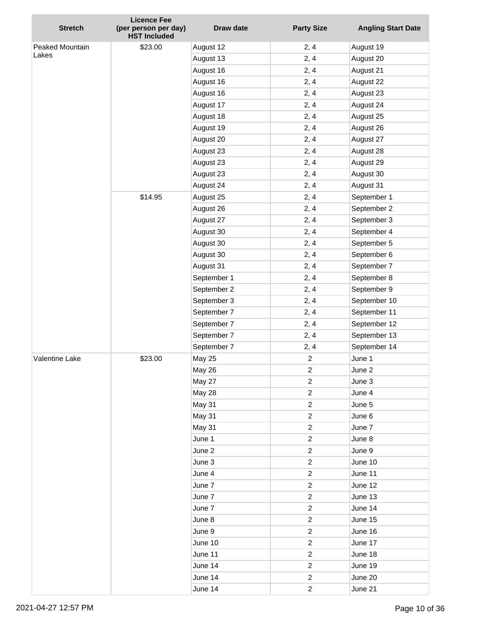| <b>Stretch</b>           | <b>Licence Fee</b><br>(per person per day) | Draw date     | <b>Party Size</b>       | <b>Angling Start Date</b> |
|--------------------------|--------------------------------------------|---------------|-------------------------|---------------------------|
|                          | <b>HST Included</b>                        |               |                         |                           |
| Peaked Mountain<br>Lakes | \$23.00                                    | August 12     | 2, 4                    | August 19                 |
|                          |                                            | August 13     | 2, 4                    | August 20                 |
|                          |                                            | August 16     | 2, 4                    | August 21                 |
|                          |                                            | August 16     | 2, 4                    | August 22                 |
|                          |                                            | August 16     | 2, 4                    | August 23                 |
|                          |                                            | August 17     | 2, 4                    | August 24                 |
|                          |                                            | August 18     | 2, 4                    | August 25                 |
|                          |                                            | August 19     | 2, 4                    | August 26                 |
|                          |                                            | August 20     | 2, 4                    | August 27                 |
|                          |                                            | August 23     | 2, 4                    | August 28                 |
|                          |                                            | August 23     | 2, 4                    | August 29                 |
|                          |                                            | August 23     | 2, 4                    | August 30                 |
|                          |                                            | August 24     | 2, 4                    | August 31                 |
|                          | \$14.95                                    | August 25     | 2, 4                    | September 1               |
|                          |                                            | August 26     | 2, 4                    | September 2               |
|                          |                                            | August 27     | 2, 4                    | September 3               |
|                          |                                            | August 30     | 2, 4                    | September 4               |
|                          |                                            | August 30     | 2, 4                    | September 5               |
|                          |                                            | August 30     | 2, 4                    | September 6               |
|                          |                                            | August 31     | 2, 4                    | September 7               |
|                          |                                            | September 1   | 2, 4                    | September 8               |
|                          |                                            | September 2   | 2, 4                    | September 9               |
|                          |                                            | September 3   | 2, 4                    | September 10              |
|                          |                                            | September 7   | 2, 4                    | September 11              |
|                          |                                            | September 7   | 2, 4                    | September 12              |
|                          |                                            | September 7   | 2, 4                    | September 13              |
|                          |                                            | September 7   | 2, 4                    | September 14              |
| Valentine Lake           | \$23.00                                    | <b>May 25</b> | $\overline{c}$          | June 1                    |
|                          |                                            | <b>May 26</b> | $\overline{c}$          | June 2                    |
|                          |                                            | <b>May 27</b> | $\overline{c}$          | June 3                    |
|                          |                                            | <b>May 28</b> | $\overline{\mathbf{c}}$ | June 4                    |
|                          |                                            | <b>May 31</b> | $\overline{c}$          | June 5                    |
|                          |                                            | May 31        | $\overline{c}$          | June 6                    |
|                          |                                            | <b>May 31</b> | $\overline{c}$          | June 7                    |
|                          |                                            | June 1        | $\overline{c}$          | June 8                    |
|                          |                                            | June 2        | $\overline{c}$          | June 9                    |
|                          |                                            | June 3        | $\overline{\mathbf{c}}$ | June 10                   |
|                          |                                            | June 4        | $\overline{\mathbf{c}}$ | June 11                   |
|                          |                                            | June 7        | $\boldsymbol{2}$        | June 12                   |
|                          |                                            | June 7        | $\overline{c}$          | June 13                   |
|                          |                                            | June 7        | 2                       | June 14                   |
|                          |                                            | June 8        | $\overline{\mathbf{c}}$ | June 15                   |
|                          |                                            | June 9        | $\overline{c}$          | June 16                   |
|                          |                                            | June 10       | $\overline{c}$          | June 17                   |
|                          |                                            | June 11       | $\overline{c}$          | June 18                   |
|                          |                                            | June 14       | $\overline{c}$          | June 19                   |
|                          |                                            | June 14       | $\overline{c}$          | June 20                   |
|                          |                                            | June 14       | $\overline{c}$          | June 21                   |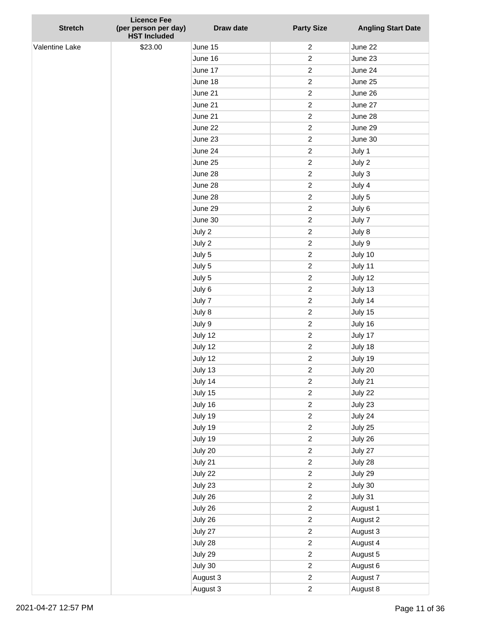| <b>Stretch</b> | <b>Licence Fee</b><br>(per person per day) | Draw date | <b>Party Size</b> | <b>Angling Start Date</b> |
|----------------|--------------------------------------------|-----------|-------------------|---------------------------|
|                | <b>HST Included</b>                        |           |                   |                           |
| Valentine Lake | \$23.00                                    | June 15   | $\overline{c}$    | June 22                   |
|                |                                            | June 16   | $\overline{c}$    | June 23                   |
|                |                                            | June 17   | $\overline{c}$    | June 24                   |
|                |                                            | June 18   | $\overline{c}$    | June 25                   |
|                |                                            | June 21   | $\overline{c}$    | June 26                   |
|                |                                            | June 21   | $\overline{c}$    | June 27                   |
|                |                                            | June 21   | $\boldsymbol{2}$  | June 28                   |
|                |                                            | June 22   | $\overline{c}$    | June 29                   |
|                |                                            | June 23   | $\overline{c}$    | June 30                   |
|                |                                            | June 24   | $\overline{c}$    | July 1                    |
|                |                                            | June 25   | $\overline{c}$    | July 2                    |
|                |                                            | June 28   | $\overline{c}$    | July 3                    |
|                |                                            | June 28   | $\overline{c}$    | July 4                    |
|                |                                            | June 28   | $\overline{c}$    | July 5                    |
|                |                                            | June 29   | $\overline{c}$    | July 6                    |
|                |                                            | June 30   | $\overline{c}$    | July 7                    |
|                |                                            | July 2    | $\overline{c}$    | July 8                    |
|                |                                            | July 2    | $\overline{c}$    | July 9                    |
|                |                                            | July 5    | $\overline{c}$    | July 10                   |
|                |                                            | July 5    | $\overline{c}$    | July 11                   |
|                |                                            | July 5    | $\overline{c}$    | July 12                   |
|                |                                            | July 6    | $\overline{c}$    | July 13                   |
|                |                                            | July 7    | $\overline{c}$    | July 14                   |
|                |                                            | July 8    | $\overline{c}$    | July 15                   |
|                |                                            | July 9    | $\boldsymbol{2}$  | July 16                   |
|                |                                            | July 12   | $\overline{c}$    | July 17                   |
|                |                                            | July 12   | $\overline{c}$    | July 18                   |
|                |                                            | July 12   | $\overline{c}$    | July 19                   |
|                |                                            | July 13   | $\overline{c}$    | July 20                   |
|                |                                            | July 14   | $\overline{c}$    | July 21                   |
|                |                                            | July 15   | $\overline{c}$    | July 22                   |
|                |                                            | July 16   | $\overline{c}$    | July 23                   |
|                |                                            | July 19   | $\overline{c}$    | July 24                   |
|                |                                            | July 19   | $\overline{c}$    | July 25                   |
|                |                                            | July 19   | $\overline{c}$    | July 26                   |
|                |                                            | July 20   | $\overline{c}$    | July 27                   |
|                |                                            | July 21   | $\overline{c}$    | July 28                   |
|                |                                            | July 22   | $\overline{c}$    | July 29                   |
|                |                                            | July 23   | $\overline{c}$    | July 30                   |
|                |                                            | July 26   | $\overline{c}$    | July 31                   |
|                |                                            | July 26   | $\overline{c}$    | August 1                  |
|                |                                            | July 26   | $\overline{c}$    | August 2                  |
|                |                                            | July 27   | $\overline{c}$    | August 3                  |
|                |                                            | July 28   | $\overline{c}$    | August 4                  |
|                |                                            | July 29   | $\overline{c}$    | August 5                  |
|                |                                            | July 30   | $\overline{c}$    | August 6                  |
|                |                                            | August 3  | $\overline{c}$    | August 7                  |
|                |                                            | August 3  | $\overline{c}$    | August 8                  |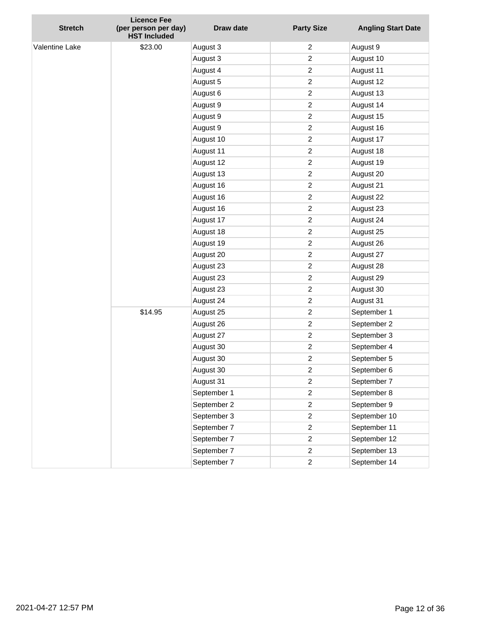| <b>Stretch</b> | <b>Licence Fee</b><br>(per person per day)<br><b>HST Included</b> | Draw date   | <b>Party Size</b> | <b>Angling Start Date</b> |
|----------------|-------------------------------------------------------------------|-------------|-------------------|---------------------------|
| Valentine Lake | \$23.00                                                           | August 3    | 2                 | August 9                  |
|                |                                                                   | August 3    | $\overline{c}$    | August 10                 |
|                |                                                                   | August 4    | $\overline{c}$    | August 11                 |
|                |                                                                   | August 5    | $\overline{c}$    | August 12                 |
|                |                                                                   | August 6    | $\overline{c}$    | August 13                 |
|                |                                                                   | August 9    | $\overline{c}$    | August 14                 |
|                |                                                                   | August 9    | $\overline{c}$    | August 15                 |
|                |                                                                   | August 9    | $\overline{c}$    | August 16                 |
|                |                                                                   | August 10   | $\overline{c}$    | August 17                 |
|                |                                                                   | August 11   | $\overline{c}$    | August 18                 |
|                |                                                                   | August 12   | $\overline{c}$    | August 19                 |
|                |                                                                   | August 13   | $\overline{c}$    | August 20                 |
|                |                                                                   | August 16   | $\overline{c}$    | August 21                 |
|                |                                                                   | August 16   | $\overline{c}$    | August 22                 |
|                |                                                                   | August 16   | $\overline{c}$    | August 23                 |
|                |                                                                   | August 17   | $\overline{c}$    | August 24                 |
|                |                                                                   | August 18   | $\overline{c}$    | August 25                 |
|                |                                                                   | August 19   | $\overline{c}$    | August 26                 |
|                |                                                                   | August 20   | $\overline{c}$    | August 27                 |
|                |                                                                   | August 23   | $\overline{c}$    | August 28                 |
|                |                                                                   | August 23   | $\overline{c}$    | August 29                 |
|                |                                                                   | August 23   | $\overline{c}$    | August 30                 |
|                |                                                                   | August 24   | $\overline{c}$    | August 31                 |
|                | \$14.95                                                           | August 25   | $\overline{c}$    | September 1               |
|                |                                                                   | August 26   | $\overline{c}$    | September 2               |
|                |                                                                   | August 27   | $\overline{c}$    | September 3               |
|                |                                                                   | August 30   | $\overline{c}$    | September 4               |
|                |                                                                   | August 30   | $\overline{c}$    | September 5               |
|                |                                                                   | August 30   | 2                 | September 6               |
|                |                                                                   | August 31   | $\boldsymbol{2}$  | September 7               |
|                |                                                                   | September 1 | $\overline{c}$    | September 8               |
|                |                                                                   | September 2 | $\overline{c}$    | September 9               |
|                |                                                                   | September 3 | $\overline{c}$    | September 10              |
|                |                                                                   | September 7 | $\overline{c}$    | September 11              |
|                |                                                                   | September 7 | $\overline{c}$    | September 12              |
|                |                                                                   | September 7 | $\overline{c}$    | September 13              |
|                |                                                                   | September 7 | $\overline{c}$    | September 14              |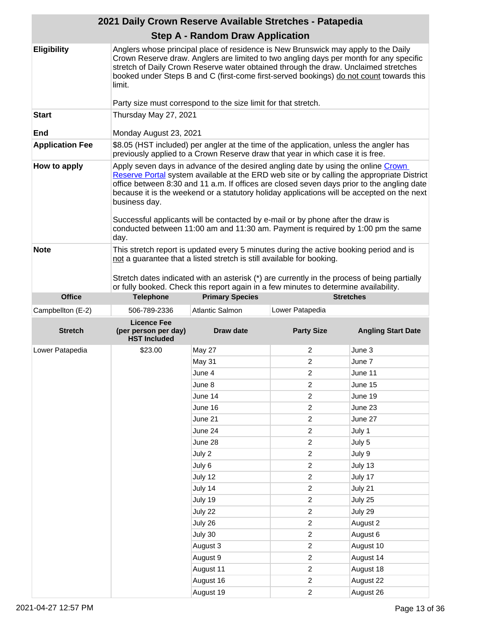|                        | 2021 Daily Crown Reserve Available Stretches - Patapedia                       |                                                                                                                                                                                                                                                                                                                                                                                                                                                      |                                  |                                                                                            |  |
|------------------------|--------------------------------------------------------------------------------|------------------------------------------------------------------------------------------------------------------------------------------------------------------------------------------------------------------------------------------------------------------------------------------------------------------------------------------------------------------------------------------------------------------------------------------------------|----------------------------------|--------------------------------------------------------------------------------------------|--|
|                        |                                                                                | <b>Step A - Random Draw Application</b>                                                                                                                                                                                                                                                                                                                                                                                                              |                                  |                                                                                            |  |
| <b>Eligibility</b>     | limit.                                                                         | Anglers whose principal place of residence is New Brunswick may apply to the Daily<br>Crown Reserve draw. Anglers are limited to two angling days per month for any specific<br>stretch of Daily Crown Reserve water obtained through the draw. Unclaimed stretches<br>booked under Steps B and C (first-come first-served bookings) do not count towards this                                                                                       |                                  |                                                                                            |  |
|                        |                                                                                | Party size must correspond to the size limit for that stretch.                                                                                                                                                                                                                                                                                                                                                                                       |                                  |                                                                                            |  |
| <b>Start</b><br>End    | Thursday May 27, 2021<br>Monday August 23, 2021                                |                                                                                                                                                                                                                                                                                                                                                                                                                                                      |                                  |                                                                                            |  |
|                        |                                                                                | \$8.05 (HST included) per angler at the time of the application, unless the angler has                                                                                                                                                                                                                                                                                                                                                               |                                  |                                                                                            |  |
| <b>Application Fee</b> | previously applied to a Crown Reserve draw that year in which case it is free. |                                                                                                                                                                                                                                                                                                                                                                                                                                                      |                                  |                                                                                            |  |
| How to apply           | business day.<br>day.                                                          | Apply seven days in advance of the desired angling date by using the online Crown<br>office between 8:30 and 11 a.m. If offices are closed seven days prior to the angling date<br>because it is the weekend or a statutory holiday applications will be accepted on the next<br>Successful applicants will be contacted by e-mail or by phone after the draw is<br>conducted between 11:00 am and 11:30 am. Payment is required by 1:00 pm the same |                                  | Reserve Portal system available at the ERD web site or by calling the appropriate District |  |
| <b>Note</b>            |                                                                                | This stretch report is updated every 5 minutes during the active booking period and is<br>not a guarantee that a listed stretch is still available for booking.<br>Stretch dates indicated with an asterisk (*) are currently in the process of being partially<br>or fully booked. Check this report again in a few minutes to determine availability.                                                                                              |                                  |                                                                                            |  |
| <b>Office</b>          | <b>Telephone</b>                                                               | <b>Primary Species</b>                                                                                                                                                                                                                                                                                                                                                                                                                               |                                  | <b>Stretches</b>                                                                           |  |
|                        |                                                                                |                                                                                                                                                                                                                                                                                                                                                                                                                                                      |                                  |                                                                                            |  |
| Campbellton (E-2)      | 506-789-2336                                                                   | Atlantic Salmon                                                                                                                                                                                                                                                                                                                                                                                                                                      | Lower Patapedia                  |                                                                                            |  |
| <b>Stretch</b>         | <b>Licence Fee</b><br>(per person per day)<br><b>HST Included</b>              | <b>Draw date</b>                                                                                                                                                                                                                                                                                                                                                                                                                                     | <b>Party Size</b>                | <b>Angling Start Date</b>                                                                  |  |
| Lower Patapedia        | \$23.00                                                                        | May 27                                                                                                                                                                                                                                                                                                                                                                                                                                               | 2                                | June 3                                                                                     |  |
|                        |                                                                                | May 31                                                                                                                                                                                                                                                                                                                                                                                                                                               | 2                                | June 7                                                                                     |  |
|                        |                                                                                | June 4                                                                                                                                                                                                                                                                                                                                                                                                                                               | 2                                | June 11                                                                                    |  |
|                        |                                                                                | June 8                                                                                                                                                                                                                                                                                                                                                                                                                                               | $\overline{c}$                   | June 15                                                                                    |  |
|                        |                                                                                | June 14                                                                                                                                                                                                                                                                                                                                                                                                                                              |                                  |                                                                                            |  |
|                        |                                                                                |                                                                                                                                                                                                                                                                                                                                                                                                                                                      | $\overline{c}$                   | June 19                                                                                    |  |
|                        |                                                                                | June 16                                                                                                                                                                                                                                                                                                                                                                                                                                              | $\overline{2}$                   | June 23                                                                                    |  |
|                        |                                                                                | June 21                                                                                                                                                                                                                                                                                                                                                                                                                                              | $\overline{2}$                   | June 27                                                                                    |  |
|                        |                                                                                | June 24                                                                                                                                                                                                                                                                                                                                                                                                                                              | $\overline{c}$                   | July 1                                                                                     |  |
|                        |                                                                                | June 28                                                                                                                                                                                                                                                                                                                                                                                                                                              | $\overline{c}$                   | July 5                                                                                     |  |
|                        |                                                                                | July 2                                                                                                                                                                                                                                                                                                                                                                                                                                               | $\overline{c}$                   | July 9                                                                                     |  |
|                        |                                                                                | July 6                                                                                                                                                                                                                                                                                                                                                                                                                                               | $\overline{c}$                   | July 13                                                                                    |  |
|                        |                                                                                | July 12                                                                                                                                                                                                                                                                                                                                                                                                                                              | $\overline{c}$                   | July 17                                                                                    |  |
|                        |                                                                                | July 14                                                                                                                                                                                                                                                                                                                                                                                                                                              | $\overline{c}$                   | July 21                                                                                    |  |
|                        |                                                                                | July 19                                                                                                                                                                                                                                                                                                                                                                                                                                              | $\overline{c}$                   | July 25                                                                                    |  |
|                        |                                                                                | July 22                                                                                                                                                                                                                                                                                                                                                                                                                                              | $\overline{c}$                   | July 29                                                                                    |  |
|                        |                                                                                | July 26                                                                                                                                                                                                                                                                                                                                                                                                                                              | $\overline{c}$                   | August 2                                                                                   |  |
|                        |                                                                                | July 30                                                                                                                                                                                                                                                                                                                                                                                                                                              | $\overline{c}$                   | August 6                                                                                   |  |
|                        |                                                                                | August 3                                                                                                                                                                                                                                                                                                                                                                                                                                             | $\overline{c}$                   | August 10                                                                                  |  |
|                        |                                                                                | August 9                                                                                                                                                                                                                                                                                                                                                                                                                                             | $\overline{2}$                   | August 14                                                                                  |  |
|                        |                                                                                | August 11<br>August 16                                                                                                                                                                                                                                                                                                                                                                                                                               | $\overline{c}$<br>$\overline{2}$ | August 18<br>August 22                                                                     |  |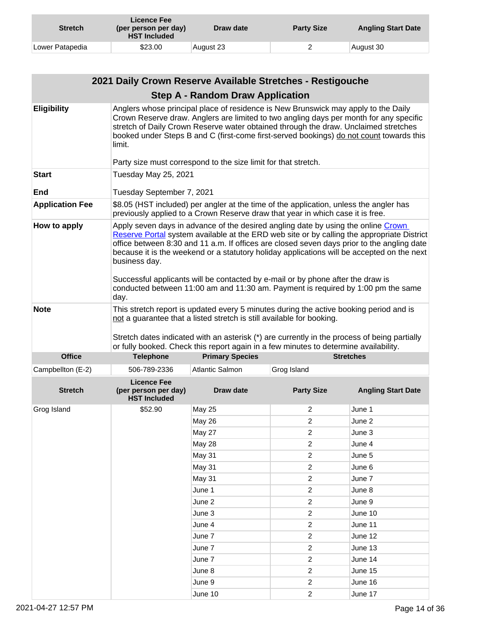| <b>Stretch</b>  | Licence Fee<br>(per person per day)<br><b>HST Included</b> | Draw date | <b>Party Size</b> | <b>Angling Start Date</b> |
|-----------------|------------------------------------------------------------|-----------|-------------------|---------------------------|
| Lower Patapedia | \$23.00                                                    | August 23 |                   | August 30                 |

|                                     | 2021 Daily Crown Reserve Available Stretches - Restigouche                                                                                                                                                                                                                                                                                                                                                                                                                                                                                                                  |                                                                                                                                                                                                                                                                                                                                                                                                                                  |                                  |                           |
|-------------------------------------|-----------------------------------------------------------------------------------------------------------------------------------------------------------------------------------------------------------------------------------------------------------------------------------------------------------------------------------------------------------------------------------------------------------------------------------------------------------------------------------------------------------------------------------------------------------------------------|----------------------------------------------------------------------------------------------------------------------------------------------------------------------------------------------------------------------------------------------------------------------------------------------------------------------------------------------------------------------------------------------------------------------------------|----------------------------------|---------------------------|
|                                     |                                                                                                                                                                                                                                                                                                                                                                                                                                                                                                                                                                             | <b>Step A - Random Draw Application</b>                                                                                                                                                                                                                                                                                                                                                                                          |                                  |                           |
| <b>Eligibility</b>                  | limit.                                                                                                                                                                                                                                                                                                                                                                                                                                                                                                                                                                      | Anglers whose principal place of residence is New Brunswick may apply to the Daily<br>Crown Reserve draw. Anglers are limited to two angling days per month for any specific<br>stretch of Daily Crown Reserve water obtained through the draw. Unclaimed stretches<br>booked under Steps B and C (first-come first-served bookings) do not count towards this<br>Party size must correspond to the size limit for that stretch. |                                  |                           |
| <b>Start</b>                        | Tuesday May 25, 2021                                                                                                                                                                                                                                                                                                                                                                                                                                                                                                                                                        |                                                                                                                                                                                                                                                                                                                                                                                                                                  |                                  |                           |
| <b>End</b>                          |                                                                                                                                                                                                                                                                                                                                                                                                                                                                                                                                                                             |                                                                                                                                                                                                                                                                                                                                                                                                                                  |                                  |                           |
| <b>Application Fee</b>              | Tuesday September 7, 2021<br>\$8.05 (HST included) per angler at the time of the application, unless the angler has                                                                                                                                                                                                                                                                                                                                                                                                                                                         |                                                                                                                                                                                                                                                                                                                                                                                                                                  |                                  |                           |
|                                     |                                                                                                                                                                                                                                                                                                                                                                                                                                                                                                                                                                             | previously applied to a Crown Reserve draw that year in which case it is free.                                                                                                                                                                                                                                                                                                                                                   |                                  |                           |
| How to apply                        | Apply seven days in advance of the desired angling date by using the online Crown<br>Reserve Portal system available at the ERD web site or by calling the appropriate District<br>office between 8:30 and 11 a.m. If offices are closed seven days prior to the angling date<br>because it is the weekend or a statutory holiday applications will be accepted on the next<br>business day.<br>Successful applicants will be contacted by e-mail or by phone after the draw is<br>conducted between 11:00 am and 11:30 am. Payment is required by 1:00 pm the same<br>day. |                                                                                                                                                                                                                                                                                                                                                                                                                                  |                                  |                           |
| <b>Note</b><br><b>Office</b>        |                                                                                                                                                                                                                                                                                                                                                                                                                                                                                                                                                                             | This stretch report is updated every 5 minutes during the active booking period and is<br>not a guarantee that a listed stretch is still available for booking.<br>Stretch dates indicated with an asterisk (*) are currently in the process of being partially<br>or fully booked. Check this report again in a few minutes to determine availability.                                                                          |                                  | <b>Stretches</b>          |
|                                     | <b>Telephone</b>                                                                                                                                                                                                                                                                                                                                                                                                                                                                                                                                                            | <b>Primary Species</b>                                                                                                                                                                                                                                                                                                                                                                                                           |                                  |                           |
| Campbellton (E-2)<br><b>Stretch</b> | 506-789-2336<br><b>Licence Fee</b><br>(per person per day)<br><b>HST Included</b>                                                                                                                                                                                                                                                                                                                                                                                                                                                                                           | Atlantic Salmon<br><b>Draw date</b>                                                                                                                                                                                                                                                                                                                                                                                              | Grog Island<br><b>Party Size</b> | <b>Angling Start Date</b> |
| Grog Island                         | \$52.90                                                                                                                                                                                                                                                                                                                                                                                                                                                                                                                                                                     | <b>May 25</b>                                                                                                                                                                                                                                                                                                                                                                                                                    | 2                                | June 1                    |
|                                     |                                                                                                                                                                                                                                                                                                                                                                                                                                                                                                                                                                             | May 26                                                                                                                                                                                                                                                                                                                                                                                                                           | 2                                | June 2                    |
|                                     |                                                                                                                                                                                                                                                                                                                                                                                                                                                                                                                                                                             | <b>May 27</b>                                                                                                                                                                                                                                                                                                                                                                                                                    | 2                                | June 3                    |
|                                     |                                                                                                                                                                                                                                                                                                                                                                                                                                                                                                                                                                             | May 28                                                                                                                                                                                                                                                                                                                                                                                                                           | $\overline{c}$                   | June 4                    |
|                                     |                                                                                                                                                                                                                                                                                                                                                                                                                                                                                                                                                                             | May 31                                                                                                                                                                                                                                                                                                                                                                                                                           | $\overline{\mathbf{c}}$          | June 5                    |
|                                     |                                                                                                                                                                                                                                                                                                                                                                                                                                                                                                                                                                             | <b>May 31</b>                                                                                                                                                                                                                                                                                                                                                                                                                    | $\overline{c}$                   | June 6                    |
|                                     |                                                                                                                                                                                                                                                                                                                                                                                                                                                                                                                                                                             | May 31                                                                                                                                                                                                                                                                                                                                                                                                                           | $\overline{c}$                   | June 7                    |
|                                     |                                                                                                                                                                                                                                                                                                                                                                                                                                                                                                                                                                             | June 1                                                                                                                                                                                                                                                                                                                                                                                                                           | $\overline{c}$                   | June 8                    |
|                                     |                                                                                                                                                                                                                                                                                                                                                                                                                                                                                                                                                                             | June 2                                                                                                                                                                                                                                                                                                                                                                                                                           | $\overline{c}$                   | June 9                    |
|                                     |                                                                                                                                                                                                                                                                                                                                                                                                                                                                                                                                                                             | June 3                                                                                                                                                                                                                                                                                                                                                                                                                           | $\overline{c}$                   | June 10                   |
|                                     |                                                                                                                                                                                                                                                                                                                                                                                                                                                                                                                                                                             | June 4                                                                                                                                                                                                                                                                                                                                                                                                                           | $\overline{c}$                   | June 11                   |
|                                     |                                                                                                                                                                                                                                                                                                                                                                                                                                                                                                                                                                             | June 7                                                                                                                                                                                                                                                                                                                                                                                                                           | $\overline{c}$                   | June 12                   |
|                                     |                                                                                                                                                                                                                                                                                                                                                                                                                                                                                                                                                                             | June 7                                                                                                                                                                                                                                                                                                                                                                                                                           | $\overline{c}$                   | June 13                   |
|                                     |                                                                                                                                                                                                                                                                                                                                                                                                                                                                                                                                                                             | June 7                                                                                                                                                                                                                                                                                                                                                                                                                           | $\overline{c}$                   | June 14                   |
|                                     |                                                                                                                                                                                                                                                                                                                                                                                                                                                                                                                                                                             | June 8                                                                                                                                                                                                                                                                                                                                                                                                                           | $\overline{c}$                   | June 15                   |
|                                     |                                                                                                                                                                                                                                                                                                                                                                                                                                                                                                                                                                             | June 9                                                                                                                                                                                                                                                                                                                                                                                                                           | $\overline{c}$                   | June 16                   |
|                                     |                                                                                                                                                                                                                                                                                                                                                                                                                                                                                                                                                                             | June 10                                                                                                                                                                                                                                                                                                                                                                                                                          | $\overline{c}$                   | June 17                   |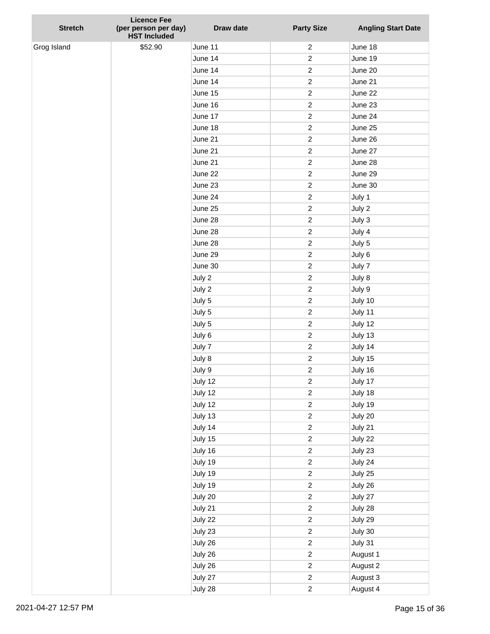| <b>Stretch</b> | <b>Licence Fee</b><br>(per person per day)<br><b>HST Included</b> | Draw date | <b>Party Size</b>                | <b>Angling Start Date</b> |
|----------------|-------------------------------------------------------------------|-----------|----------------------------------|---------------------------|
| Grog Island    | \$52.90                                                           | June 11   | $\overline{c}$                   | June 18                   |
|                |                                                                   | June 14   | $\overline{c}$                   | June 19                   |
|                |                                                                   | June 14   | $\overline{c}$                   | June 20                   |
|                |                                                                   | June 14   | $\overline{c}$                   | June 21                   |
|                |                                                                   | June 15   | $\overline{c}$                   | June 22                   |
|                |                                                                   | June 16   | $\overline{c}$                   | June 23                   |
|                |                                                                   | June 17   | $\overline{c}$                   | June 24                   |
|                |                                                                   | June 18   | $\overline{c}$                   | June 25                   |
|                |                                                                   | June 21   | $\overline{c}$                   | June 26                   |
|                |                                                                   | June 21   | $\overline{c}$                   | June 27                   |
|                |                                                                   | June 21   | $\overline{c}$                   | June 28                   |
|                |                                                                   | June 22   | $\overline{c}$                   | June 29                   |
|                |                                                                   | June 23   | $\overline{c}$                   | June 30                   |
|                |                                                                   | June 24   | $\overline{c}$                   | July 1                    |
|                |                                                                   | June 25   | $\overline{c}$                   | July 2                    |
|                |                                                                   | June 28   | $\overline{c}$                   | July 3                    |
|                |                                                                   | June 28   | $\overline{c}$                   | July 4                    |
|                |                                                                   | June 28   | $\overline{c}$                   | July 5                    |
|                |                                                                   | June 29   | $\overline{c}$                   | July 6                    |
|                |                                                                   | June 30   | $\overline{c}$                   | July 7                    |
|                |                                                                   | July 2    | $\overline{c}$                   | July 8                    |
|                |                                                                   | July 2    | $\overline{c}$                   | July 9                    |
|                |                                                                   | July 5    | $\overline{c}$                   | July 10                   |
|                |                                                                   | July 5    | $\overline{c}$                   | July 11                   |
|                |                                                                   | July 5    | $\overline{c}$                   | July 12                   |
|                |                                                                   | July 6    | $\overline{c}$                   | July 13                   |
|                |                                                                   | July 7    | $\overline{c}$                   | July 14                   |
|                |                                                                   | July 8    | $\overline{c}$                   | July 15                   |
|                |                                                                   | July 9    | $\overline{c}$                   | July 16                   |
|                |                                                                   | July 12   | $\overline{c}$                   | July 17                   |
|                |                                                                   | July 12   | $\overline{c}$                   | July 18                   |
|                |                                                                   | July 12   | $\overline{c}$                   | July 19                   |
|                |                                                                   | July 13   | $\overline{c}$                   | July 20                   |
|                |                                                                   | July 14   | $\overline{c}$                   | July 21                   |
|                |                                                                   | July 15   | $\overline{c}$                   | July 22                   |
|                |                                                                   | July 16   | $\overline{c}$                   | July 23                   |
|                |                                                                   | July 19   | $\overline{c}$                   | July 24                   |
|                |                                                                   | July 19   | $\overline{c}$                   | July 25                   |
|                |                                                                   | July 19   | $\overline{c}$                   | July 26                   |
|                |                                                                   | July 20   | $\overline{c}$                   | July 27                   |
|                |                                                                   | July 21   | $\overline{c}$                   | July 28                   |
|                |                                                                   | July 22   | $\overline{c}$                   | July 29                   |
|                |                                                                   | July 23   | $\overline{c}$                   | July 30                   |
|                |                                                                   | July 26   | $\overline{c}$                   | July 31                   |
|                |                                                                   | July 26   | $\overline{c}$                   | August 1                  |
|                |                                                                   | July 26   | $\overline{c}$                   | August 2                  |
|                |                                                                   | July 27   | $\overline{c}$<br>$\overline{c}$ | August 3                  |
|                |                                                                   | July 28   |                                  | August 4                  |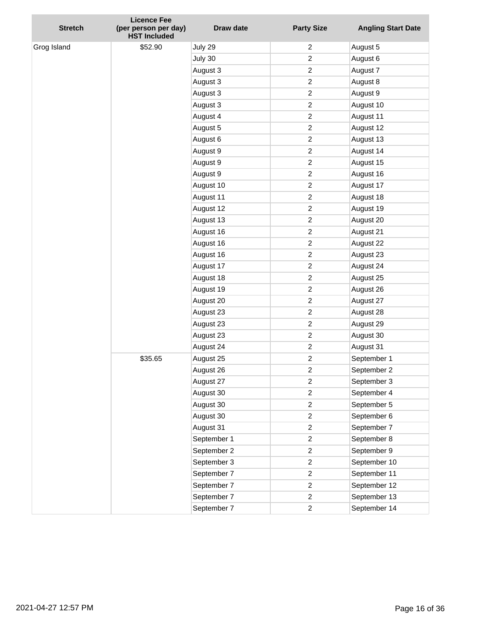| <b>Stretch</b> | <b>Licence Fee</b><br>(per person per day)<br><b>HST Included</b> | <b>Draw date</b> | <b>Party Size</b> | <b>Angling Start Date</b> |
|----------------|-------------------------------------------------------------------|------------------|-------------------|---------------------------|
| Grog Island    | \$52.90                                                           | July 29          | 2                 | August 5                  |
|                |                                                                   | July 30          | $\overline{c}$    | August 6                  |
|                |                                                                   | August 3         | $\overline{c}$    | August 7                  |
|                |                                                                   | August 3         | $\overline{c}$    | August 8                  |
|                |                                                                   | August 3         | $\overline{c}$    | August 9                  |
|                |                                                                   | August 3         | $\overline{c}$    | August 10                 |
|                |                                                                   | August 4         | $\overline{c}$    | August 11                 |
|                |                                                                   | August 5         | $\overline{c}$    | August 12                 |
|                |                                                                   | August 6         | $\overline{c}$    | August 13                 |
|                |                                                                   | August 9         | $\overline{c}$    | August 14                 |
|                |                                                                   | August 9         | $\overline{c}$    | August 15                 |
|                |                                                                   | August 9         | $\overline{c}$    | August 16                 |
|                |                                                                   | August 10        | $\overline{c}$    | August 17                 |
|                |                                                                   | August 11        | $\overline{c}$    | August 18                 |
|                |                                                                   | August 12        | $\overline{c}$    | August 19                 |
|                |                                                                   | August 13        | $\overline{c}$    | August 20                 |
|                |                                                                   | August 16        | $\overline{c}$    | August 21                 |
|                |                                                                   | August 16        | $\overline{c}$    | August 22                 |
|                |                                                                   | August 16        | $\overline{c}$    | August 23                 |
|                |                                                                   | August 17        | $\overline{c}$    | August 24                 |
|                |                                                                   | August 18        | $\overline{c}$    | August 25                 |
|                |                                                                   | August 19        | $\overline{c}$    | August 26                 |
|                |                                                                   | August 20        | $\overline{c}$    | August 27                 |
|                |                                                                   | August 23        | $\overline{c}$    | August 28                 |
|                |                                                                   | August 23        | $\overline{c}$    | August 29                 |
|                |                                                                   | August 23        | $\overline{c}$    | August 30                 |
|                |                                                                   | August 24        | $\overline{c}$    | August 31                 |
|                | \$35.65                                                           | August 25        | $\overline{c}$    | September 1               |
|                |                                                                   | August 26        | $\overline{c}$    | September 2               |
|                |                                                                   | August 27        | $\overline{c}$    | September 3               |
|                |                                                                   | August 30        | $\overline{c}$    | September 4               |
|                |                                                                   | August 30        | $\overline{c}$    | September 5               |
|                |                                                                   | August 30        | $\overline{c}$    | September 6               |
|                |                                                                   | August 31        | $\overline{c}$    | September 7               |
|                |                                                                   | September 1      | $\overline{c}$    | September 8               |
|                |                                                                   | September 2      | $\overline{c}$    | September 9               |
|                |                                                                   | September 3      | $\overline{c}$    | September 10              |
|                |                                                                   | September 7      | $\overline{c}$    | September 11              |
|                |                                                                   | September 7      | $\overline{c}$    | September 12              |
|                |                                                                   | September 7      | $\overline{c}$    | September 13              |
|                |                                                                   | September 7      | $\overline{c}$    | September 14              |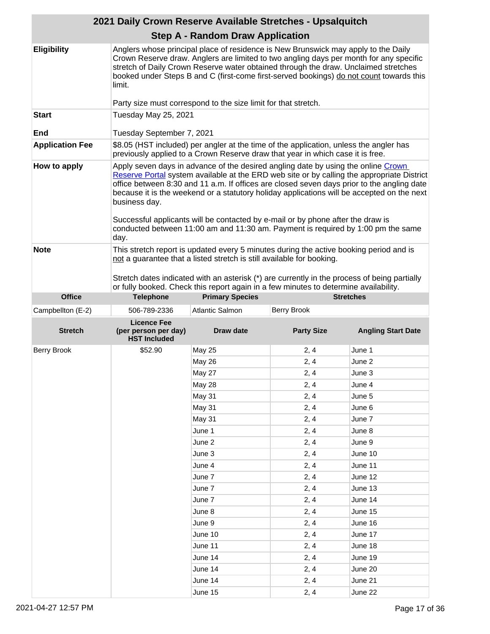|                        | 2021 Daily Crown Reserve Available Stretches - Upsalquitch                     |                                                                                                                                                                                                                                                                                                                                                                                                                                                      |                    |                                                                                            |  |
|------------------------|--------------------------------------------------------------------------------|------------------------------------------------------------------------------------------------------------------------------------------------------------------------------------------------------------------------------------------------------------------------------------------------------------------------------------------------------------------------------------------------------------------------------------------------------|--------------------|--------------------------------------------------------------------------------------------|--|
|                        |                                                                                | <b>Step A - Random Draw Application</b>                                                                                                                                                                                                                                                                                                                                                                                                              |                    |                                                                                            |  |
| <b>Eligibility</b>     | limit.                                                                         | Anglers whose principal place of residence is New Brunswick may apply to the Daily<br>Crown Reserve draw. Anglers are limited to two angling days per month for any specific<br>stretch of Daily Crown Reserve water obtained through the draw. Unclaimed stretches<br>booked under Steps B and C (first-come first-served bookings) do not count towards this                                                                                       |                    |                                                                                            |  |
|                        |                                                                                | Party size must correspond to the size limit for that stretch.                                                                                                                                                                                                                                                                                                                                                                                       |                    |                                                                                            |  |
| <b>Start</b><br>End    | Tuesday May 25, 2021<br>Tuesday September 7, 2021                              |                                                                                                                                                                                                                                                                                                                                                                                                                                                      |                    |                                                                                            |  |
|                        |                                                                                | \$8.05 (HST included) per angler at the time of the application, unless the angler has                                                                                                                                                                                                                                                                                                                                                               |                    |                                                                                            |  |
| <b>Application Fee</b> | previously applied to a Crown Reserve draw that year in which case it is free. |                                                                                                                                                                                                                                                                                                                                                                                                                                                      |                    |                                                                                            |  |
| How to apply           | business day.<br>day.                                                          | Apply seven days in advance of the desired angling date by using the online Crown<br>office between 8:30 and 11 a.m. If offices are closed seven days prior to the angling date<br>because it is the weekend or a statutory holiday applications will be accepted on the next<br>Successful applicants will be contacted by e-mail or by phone after the draw is<br>conducted between 11:00 am and 11:30 am. Payment is required by 1:00 pm the same |                    | Reserve Portal system available at the ERD web site or by calling the appropriate District |  |
| <b>Note</b>            |                                                                                | This stretch report is updated every 5 minutes during the active booking period and is<br>not a guarantee that a listed stretch is still available for booking.<br>Stretch dates indicated with an asterisk (*) are currently in the process of being partially<br>or fully booked. Check this report again in a few minutes to determine availability.                                                                                              |                    |                                                                                            |  |
| <b>Office</b>          | <b>Telephone</b>                                                               | <b>Primary Species</b>                                                                                                                                                                                                                                                                                                                                                                                                                               |                    | <b>Stretches</b>                                                                           |  |
| Campbellton (E-2)      | 506-789-2336                                                                   | Atlantic Salmon                                                                                                                                                                                                                                                                                                                                                                                                                                      | <b>Berry Brook</b> |                                                                                            |  |
|                        |                                                                                |                                                                                                                                                                                                                                                                                                                                                                                                                                                      |                    |                                                                                            |  |
| <b>Stretch</b>         | <b>Licence Fee</b><br>(per person per day)<br><b>HST Included</b>              | <b>Draw date</b>                                                                                                                                                                                                                                                                                                                                                                                                                                     | <b>Party Size</b>  | <b>Angling Start Date</b>                                                                  |  |
| <b>Berry Brook</b>     | \$52.90                                                                        | <b>May 25</b>                                                                                                                                                                                                                                                                                                                                                                                                                                        | 2, 4               | June 1                                                                                     |  |
|                        |                                                                                | May 26                                                                                                                                                                                                                                                                                                                                                                                                                                               | 2, 4               | June 2                                                                                     |  |
|                        |                                                                                | May 27                                                                                                                                                                                                                                                                                                                                                                                                                                               | 2, 4               | June 3                                                                                     |  |
|                        |                                                                                | <b>May 28</b>                                                                                                                                                                                                                                                                                                                                                                                                                                        | 2, 4               | June 4                                                                                     |  |
|                        |                                                                                | May 31                                                                                                                                                                                                                                                                                                                                                                                                                                               |                    | June 5                                                                                     |  |
|                        |                                                                                |                                                                                                                                                                                                                                                                                                                                                                                                                                                      | 2, 4               |                                                                                            |  |
|                        |                                                                                | May 31                                                                                                                                                                                                                                                                                                                                                                                                                                               | 2, 4               | June 6<br>June 7                                                                           |  |
|                        |                                                                                | May 31                                                                                                                                                                                                                                                                                                                                                                                                                                               | 2, 4               |                                                                                            |  |
|                        |                                                                                | June 1                                                                                                                                                                                                                                                                                                                                                                                                                                               | 2, 4               | June 8                                                                                     |  |
|                        |                                                                                | June 2                                                                                                                                                                                                                                                                                                                                                                                                                                               | 2, 4               | June 9                                                                                     |  |
|                        |                                                                                | June 3                                                                                                                                                                                                                                                                                                                                                                                                                                               | 2, 4               | June 10                                                                                    |  |
|                        |                                                                                | June 4                                                                                                                                                                                                                                                                                                                                                                                                                                               | 2, 4               | June 11                                                                                    |  |
|                        |                                                                                | June 7                                                                                                                                                                                                                                                                                                                                                                                                                                               | 2, 4               | June 12                                                                                    |  |
|                        |                                                                                | June 7                                                                                                                                                                                                                                                                                                                                                                                                                                               | 2, 4               | June 13                                                                                    |  |
|                        |                                                                                | June 7                                                                                                                                                                                                                                                                                                                                                                                                                                               | 2, 4               | June 14                                                                                    |  |
|                        |                                                                                | June 8                                                                                                                                                                                                                                                                                                                                                                                                                                               | 2, 4               | June 15                                                                                    |  |
|                        |                                                                                | June 9                                                                                                                                                                                                                                                                                                                                                                                                                                               | 2, 4               | June 16                                                                                    |  |
|                        |                                                                                | June 10                                                                                                                                                                                                                                                                                                                                                                                                                                              | 2, 4               | June 17                                                                                    |  |
|                        |                                                                                | June 11                                                                                                                                                                                                                                                                                                                                                                                                                                              | 2, 4               | June 18                                                                                    |  |
|                        |                                                                                | June 14                                                                                                                                                                                                                                                                                                                                                                                                                                              | 2, 4               | June 19                                                                                    |  |
|                        |                                                                                | June 14<br>June 14                                                                                                                                                                                                                                                                                                                                                                                                                                   | 2, 4<br>2, 4       | June 20<br>June 21                                                                         |  |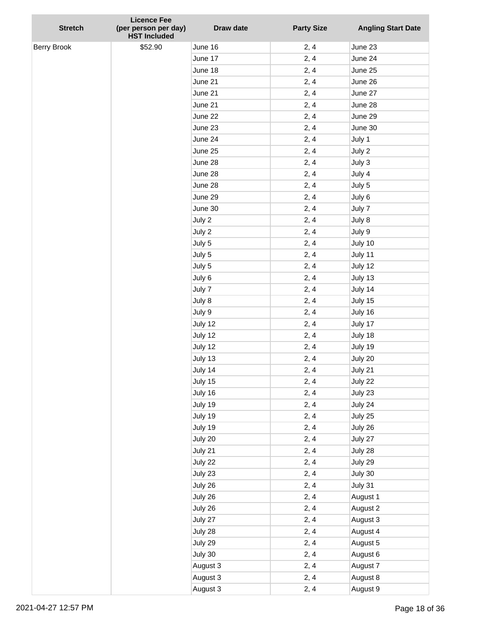| <b>Stretch</b> | <b>Licence Fee</b><br>(per person per day) | Draw date          | <b>Party Size</b> | <b>Angling Start Date</b> |
|----------------|--------------------------------------------|--------------------|-------------------|---------------------------|
|                | <b>HST Included</b>                        |                    |                   |                           |
| Berry Brook    | \$52.90                                    | June 16            | 2, 4              | June 23<br>June 24        |
|                |                                            | June 17            | 2, 4<br>2, 4      | June 25                   |
|                |                                            | June 18<br>June 21 |                   | June 26                   |
|                |                                            |                    | 2, 4              | June 27                   |
|                |                                            | June 21            | 2, 4              |                           |
|                |                                            | June 21            | 2, 4              | June 28<br>June 29        |
|                |                                            | June 22            | 2, 4              |                           |
|                |                                            | June 23            | 2, 4              | June 30                   |
|                |                                            | June 24            | 2, 4              | July 1                    |
|                |                                            | June 25            | 2, 4              | July 2                    |
|                |                                            | June 28            | 2, 4              | July 3                    |
|                |                                            | June 28            | 2, 4              | July 4                    |
|                |                                            | June 28            | 2, 4              | July 5                    |
|                |                                            | June 29            | 2, 4              | July 6                    |
|                |                                            | June 30            | 2, 4              | July 7                    |
|                |                                            | July 2             | 2, 4              | July 8                    |
|                |                                            | July 2             | 2, 4              | July 9                    |
|                |                                            | July 5             | 2, 4              | July 10                   |
|                |                                            | July 5             | 2, 4              | July 11                   |
|                |                                            | July 5             | 2, 4              | July 12                   |
|                |                                            | July 6             | 2, 4              | July 13                   |
|                |                                            | July 7             | 2, 4              | July 14                   |
|                |                                            | July 8             | 2, 4              | July 15                   |
|                |                                            | July 9             | 2, 4              | July 16                   |
|                |                                            | July 12            | 2, 4              | July 17                   |
|                |                                            | July 12            | 2, 4              | July 18                   |
|                |                                            | July 12            | 2, 4              | July 19                   |
|                |                                            | July 13            | 2, 4              | July 20                   |
|                |                                            | July 14            | 2, 4              | July 21                   |
|                |                                            | July 15            | 2, 4              | July 22                   |
|                |                                            | July 16            | 2, 4              | July 23                   |
|                |                                            | July 19            | 2, 4              | July 24                   |
|                |                                            | July 19            | 2, 4              | July 25                   |
|                |                                            | July 19            | 2, 4              | July 26                   |
|                |                                            | July 20            | 2, 4              | July 27                   |
|                |                                            | July 21            | 2, 4              | July 28                   |
|                |                                            | July 22            | 2, 4              | July 29                   |
|                |                                            | July 23            | 2, 4              | July 30                   |
|                |                                            | July 26            | 2, 4              | July 31                   |
|                |                                            | July 26            | 2, 4              | August 1                  |
|                |                                            | July 26            | 2, 4              | August 2                  |
|                |                                            | July 27            | 2, 4              | August 3                  |
|                |                                            | July 28            | 2, 4              | August 4                  |
|                |                                            | July 29            | 2, 4              | August 5                  |
|                |                                            | July 30            | 2, 4              | August 6                  |
|                |                                            | August 3           | 2, 4              | August 7                  |
|                |                                            | August 3           | 2, 4              | August 8                  |
|                |                                            | August 3           | 2, 4              | August 9                  |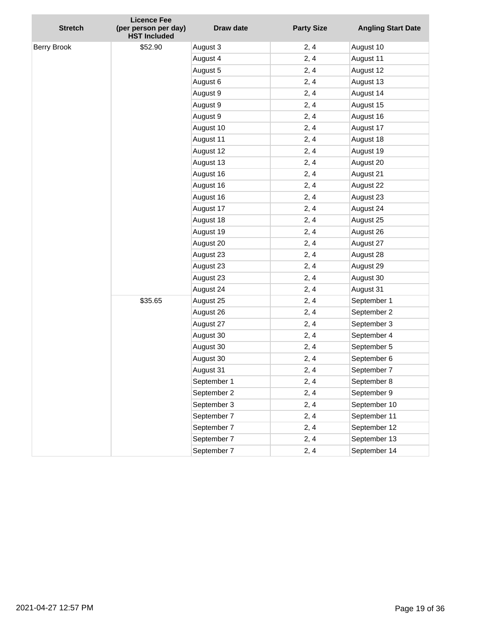| <b>Stretch</b> | <b>Licence Fee</b><br>(per person per day)<br><b>HST Included</b> | <b>Draw date</b> | <b>Party Size</b> | <b>Angling Start Date</b> |
|----------------|-------------------------------------------------------------------|------------------|-------------------|---------------------------|
| Berry Brook    | \$52.90                                                           | August 3         | 2, 4              | August 10                 |
|                |                                                                   | August 4         | 2, 4              | August 11                 |
|                |                                                                   | August 5         | 2, 4              | August 12                 |
|                |                                                                   | August 6         | 2, 4              | August 13                 |
|                |                                                                   | August 9         | 2, 4              | August 14                 |
|                |                                                                   | August 9         | 2, 4              | August 15                 |
|                |                                                                   | August 9         | 2, 4              | August 16                 |
|                |                                                                   | August 10        | 2, 4              | August 17                 |
|                |                                                                   | August 11        | 2, 4              | August 18                 |
|                |                                                                   | August 12        | 2, 4              | August 19                 |
|                |                                                                   | August 13        | 2, 4              | August 20                 |
|                |                                                                   | August 16        | 2, 4              | August 21                 |
|                |                                                                   | August 16        | 2, 4              | August 22                 |
|                |                                                                   | August 16        | 2, 4              | August 23                 |
|                |                                                                   | August 17        | 2, 4              | August 24                 |
|                |                                                                   | August 18        | 2, 4              | August 25                 |
|                |                                                                   | August 19        | 2, 4              | August 26                 |
|                |                                                                   | August 20        | 2, 4              | August 27                 |
|                |                                                                   | August 23        | 2, 4              | August 28                 |
|                |                                                                   | August 23        | 2, 4              | August 29                 |
|                |                                                                   | August 23        | 2, 4              | August 30                 |
|                |                                                                   | August 24        | 2, 4              | August 31                 |
|                | \$35.65                                                           | August 25        | 2, 4              | September 1               |
|                |                                                                   | August 26        | 2, 4              | September 2               |
|                |                                                                   | August 27        | 2, 4              | September 3               |
|                |                                                                   | August 30        | 2, 4              | September 4               |
|                |                                                                   | August 30        | 2, 4              | September 5               |
|                |                                                                   | August 30        | 2, 4              | September 6               |
|                |                                                                   | August 31        | 2, 4              | September 7               |
|                |                                                                   | September 1      | 2, 4              | September 8               |
|                |                                                                   | September 2      | 2, 4              | September 9               |
|                |                                                                   | September 3      | 2, 4              | September 10              |
|                |                                                                   | September 7      | 2, 4              | September 11              |
|                |                                                                   | September 7      | 2, 4              | September 12              |
|                |                                                                   | September 7      | 2, 4              | September 13              |
|                |                                                                   | September 7      | 2, 4              | September 14              |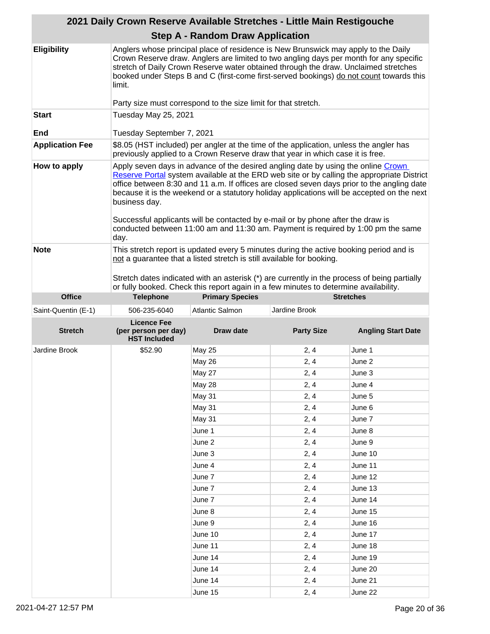|                        |                                                                                                                                                                          | 2021 Daily Crown Reserve Available Stretches - Little Main Restigouche                                                                                                                                                                                                                                                                                                                                                                               |                   |                                                                                            |
|------------------------|--------------------------------------------------------------------------------------------------------------------------------------------------------------------------|------------------------------------------------------------------------------------------------------------------------------------------------------------------------------------------------------------------------------------------------------------------------------------------------------------------------------------------------------------------------------------------------------------------------------------------------------|-------------------|--------------------------------------------------------------------------------------------|
|                        |                                                                                                                                                                          | <b>Step A - Random Draw Application</b>                                                                                                                                                                                                                                                                                                                                                                                                              |                   |                                                                                            |
| <b>Eligibility</b>     | limit.                                                                                                                                                                   | Anglers whose principal place of residence is New Brunswick may apply to the Daily<br>Crown Reserve draw. Anglers are limited to two angling days per month for any specific<br>stretch of Daily Crown Reserve water obtained through the draw. Unclaimed stretches<br>booked under Steps B and C (first-come first-served bookings) do not count towards this                                                                                       |                   |                                                                                            |
|                        |                                                                                                                                                                          | Party size must correspond to the size limit for that stretch.                                                                                                                                                                                                                                                                                                                                                                                       |                   |                                                                                            |
| <b>Start</b>           | Tuesday May 25, 2021                                                                                                                                                     |                                                                                                                                                                                                                                                                                                                                                                                                                                                      |                   |                                                                                            |
| End                    | Tuesday September 7, 2021                                                                                                                                                |                                                                                                                                                                                                                                                                                                                                                                                                                                                      |                   |                                                                                            |
| <b>Application Fee</b> | \$8.05 (HST included) per angler at the time of the application, unless the angler has<br>previously applied to a Crown Reserve draw that year in which case it is free. |                                                                                                                                                                                                                                                                                                                                                                                                                                                      |                   |                                                                                            |
| How to apply           | business day.<br>day.                                                                                                                                                    | Apply seven days in advance of the desired angling date by using the online Crown<br>office between 8:30 and 11 a.m. If offices are closed seven days prior to the angling date<br>because it is the weekend or a statutory holiday applications will be accepted on the next<br>Successful applicants will be contacted by e-mail or by phone after the draw is<br>conducted between 11:00 am and 11:30 am. Payment is required by 1:00 pm the same |                   | Reserve Portal system available at the ERD web site or by calling the appropriate District |
| <b>Note</b>            |                                                                                                                                                                          | This stretch report is updated every 5 minutes during the active booking period and is<br>not a guarantee that a listed stretch is still available for booking.<br>Stretch dates indicated with an asterisk (*) are currently in the process of being partially<br>or fully booked. Check this report again in a few minutes to determine availability.                                                                                              |                   |                                                                                            |
| <b>Office</b>          | <b>Telephone</b>                                                                                                                                                         | <b>Primary Species</b>                                                                                                                                                                                                                                                                                                                                                                                                                               |                   | <b>Stretches</b>                                                                           |
| Saint-Quentin (E-1)    | 506-235-6040                                                                                                                                                             | <b>Atlantic Salmon</b>                                                                                                                                                                                                                                                                                                                                                                                                                               | Jardine Brook     |                                                                                            |
| <b>Stretch</b>         | <b>Licence Fee</b><br>(per person per day)<br><b>HST Included</b>                                                                                                        | Draw date                                                                                                                                                                                                                                                                                                                                                                                                                                            | <b>Party Size</b> | <b>Angling Start Date</b>                                                                  |
| Jardine Brook          | \$52.90                                                                                                                                                                  | <b>May 25</b>                                                                                                                                                                                                                                                                                                                                                                                                                                        | 2, 4              | June 1                                                                                     |
|                        |                                                                                                                                                                          | May 26                                                                                                                                                                                                                                                                                                                                                                                                                                               | 2, 4              | June 2                                                                                     |
|                        |                                                                                                                                                                          | <b>May 27</b>                                                                                                                                                                                                                                                                                                                                                                                                                                        | 2, 4              | June 3                                                                                     |
|                        |                                                                                                                                                                          | May 28                                                                                                                                                                                                                                                                                                                                                                                                                                               | 2, 4              | June 4                                                                                     |
|                        |                                                                                                                                                                          | May 31                                                                                                                                                                                                                                                                                                                                                                                                                                               | 2, 4              | June 5                                                                                     |
|                        |                                                                                                                                                                          | May 31                                                                                                                                                                                                                                                                                                                                                                                                                                               | 2, 4              | June 6                                                                                     |
|                        |                                                                                                                                                                          | May 31                                                                                                                                                                                                                                                                                                                                                                                                                                               | 2, 4              | June 7                                                                                     |
|                        |                                                                                                                                                                          | June 1                                                                                                                                                                                                                                                                                                                                                                                                                                               | 2, 4              | June 8                                                                                     |
|                        |                                                                                                                                                                          | June 2                                                                                                                                                                                                                                                                                                                                                                                                                                               | 2, 4              | June 9                                                                                     |
|                        |                                                                                                                                                                          | June 3                                                                                                                                                                                                                                                                                                                                                                                                                                               | 2, 4              | June 10                                                                                    |
|                        |                                                                                                                                                                          | June 4                                                                                                                                                                                                                                                                                                                                                                                                                                               | 2, 4              | June 11                                                                                    |
|                        |                                                                                                                                                                          | June 7                                                                                                                                                                                                                                                                                                                                                                                                                                               | 2, 4              | June 12                                                                                    |
|                        |                                                                                                                                                                          | June 7                                                                                                                                                                                                                                                                                                                                                                                                                                               | 2, 4              | June 13                                                                                    |
|                        |                                                                                                                                                                          | June 7                                                                                                                                                                                                                                                                                                                                                                                                                                               | 2, 4              | June 14                                                                                    |
|                        |                                                                                                                                                                          | June 8                                                                                                                                                                                                                                                                                                                                                                                                                                               | 2, 4              | June 15                                                                                    |
|                        |                                                                                                                                                                          | June 9                                                                                                                                                                                                                                                                                                                                                                                                                                               | 2, 4              | June 16                                                                                    |
|                        |                                                                                                                                                                          | June 10                                                                                                                                                                                                                                                                                                                                                                                                                                              | 2, 4              | June 17                                                                                    |
|                        |                                                                                                                                                                          |                                                                                                                                                                                                                                                                                                                                                                                                                                                      |                   |                                                                                            |
|                        |                                                                                                                                                                          |                                                                                                                                                                                                                                                                                                                                                                                                                                                      |                   |                                                                                            |
|                        |                                                                                                                                                                          | June 11                                                                                                                                                                                                                                                                                                                                                                                                                                              | 2, 4              | June 18                                                                                    |
|                        |                                                                                                                                                                          | June 14                                                                                                                                                                                                                                                                                                                                                                                                                                              | 2, 4              | June 19                                                                                    |
|                        |                                                                                                                                                                          | June 14<br>June 14                                                                                                                                                                                                                                                                                                                                                                                                                                   | 2, 4<br>2, 4      | June 20<br>June 21                                                                         |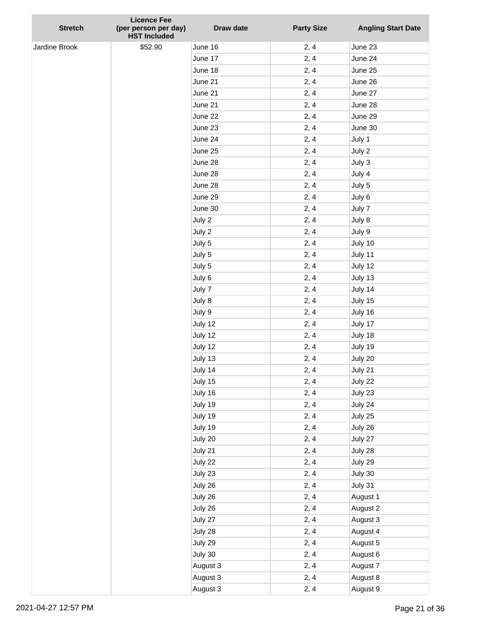| <b>Stretch</b> | <b>Licence Fee</b><br>(per person per day)<br><b>HST Included</b> | Draw date | <b>Party Size</b> | <b>Angling Start Date</b> |
|----------------|-------------------------------------------------------------------|-----------|-------------------|---------------------------|
| Jardine Brook  | \$52.90                                                           | June 16   | 2, 4              | June 23                   |
|                |                                                                   | June 17   | 2, 4              | June 24                   |
|                |                                                                   | June 18   | 2, 4              | June 25                   |
|                |                                                                   | June 21   | 2, 4              | June 26                   |
|                |                                                                   | June 21   | 2, 4              | June 27                   |
|                |                                                                   | June 21   | 2, 4              | June 28                   |
|                |                                                                   | June 22   | 2, 4              | June 29                   |
|                |                                                                   | June 23   | 2, 4              | June 30                   |
|                |                                                                   | June 24   | 2, 4              | July 1                    |
|                |                                                                   | June 25   | 2, 4              | July 2                    |
|                |                                                                   | June 28   | 2, 4              | July 3                    |
|                |                                                                   | June 28   | 2, 4              | July 4                    |
|                |                                                                   | June 28   | 2, 4              | July 5                    |
|                |                                                                   | June 29   | 2, 4              | July 6                    |
|                |                                                                   | June 30   | 2, 4              | July 7                    |
|                |                                                                   | July 2    | 2, 4              | July 8                    |
|                |                                                                   | July 2    | 2, 4              | July 9                    |
|                |                                                                   | July 5    | 2, 4              | July 10                   |
|                |                                                                   | July 5    | 2, 4              | July 11                   |
|                |                                                                   | July 5    | 2, 4              | July 12                   |
|                |                                                                   | July 6    | 2, 4              | July 13                   |
|                |                                                                   | July 7    | 2, 4              | July 14                   |
|                |                                                                   | July 8    | 2, 4              | July 15                   |
|                |                                                                   | July 9    | 2, 4              | July 16                   |
|                |                                                                   | July 12   | 2, 4              | July 17                   |
|                |                                                                   | July 12   | 2, 4              | July 18                   |
|                |                                                                   | July 12   | 2, 4              | July 19                   |
|                |                                                                   | July 13   | 2, 4              | July 20                   |
|                |                                                                   | July 14   | 2, 4              | July 21                   |
|                |                                                                   | July 15   | 2, 4              | July 22                   |
|                |                                                                   | July 16   | 2, 4              | July 23                   |
|                |                                                                   | July 19   | 2, 4              | July 24                   |
|                |                                                                   | July 19   | 2, 4              | July 25                   |
|                |                                                                   | July 19   | 2, 4              | July 26                   |
|                |                                                                   | July 20   | 2, 4              | July 27                   |
|                |                                                                   | July 21   | 2, 4              | July 28                   |
|                |                                                                   | July 22   | 2, 4              | July 29                   |
|                |                                                                   | July 23   | 2, 4              | July 30                   |
|                |                                                                   | July 26   | 2, 4              | July 31                   |
|                |                                                                   | July 26   | 2, 4              | August 1                  |
|                |                                                                   | July 26   | 2, 4              | August 2                  |
|                |                                                                   | July 27   | 2, 4              | August 3                  |
|                |                                                                   | July 28   | 2, 4              | August 4                  |
|                |                                                                   | July 29   | 2, 4              | August 5                  |
|                |                                                                   | July 30   | 2, 4              | August 6                  |
|                |                                                                   | August 3  | 2, 4              | August 7                  |
|                |                                                                   | August 3  | 2, 4              | August 8                  |
|                |                                                                   | August 3  | 2, 4              | August 9                  |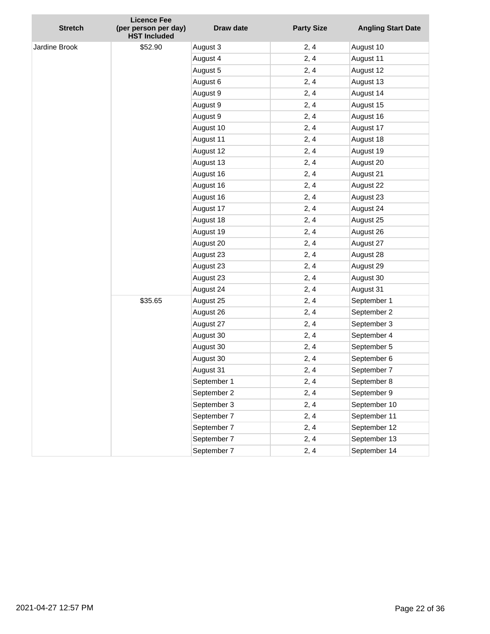| <b>Stretch</b> | <b>Licence Fee</b><br>(per person per day)<br><b>HST Included</b> | <b>Draw date</b> | <b>Party Size</b> | <b>Angling Start Date</b> |
|----------------|-------------------------------------------------------------------|------------------|-------------------|---------------------------|
| Jardine Brook  | \$52.90                                                           | August 3         | 2, 4              | August 10                 |
|                |                                                                   | August 4         | 2, 4              | August 11                 |
|                |                                                                   | August 5         | 2, 4              | August 12                 |
|                |                                                                   | August 6         | 2, 4              | August 13                 |
|                |                                                                   | August 9         | 2, 4              | August 14                 |
|                |                                                                   | August 9         | 2, 4              | August 15                 |
|                |                                                                   | August 9         | 2, 4              | August 16                 |
|                |                                                                   | August 10        | 2, 4              | August 17                 |
|                |                                                                   | August 11        | 2, 4              | August 18                 |
|                |                                                                   | August 12        | 2, 4              | August 19                 |
|                |                                                                   | August 13        | 2, 4              | August 20                 |
|                |                                                                   | August 16        | 2, 4              | August 21                 |
|                |                                                                   | August 16        | 2, 4              | August 22                 |
|                |                                                                   | August 16        | 2, 4              | August 23                 |
|                |                                                                   | August 17        | 2, 4              | August 24                 |
|                |                                                                   | August 18        | 2, 4              | August 25                 |
|                |                                                                   | August 19        | 2, 4              | August 26                 |
|                |                                                                   | August 20        | 2, 4              | August 27                 |
|                |                                                                   | August 23        | 2, 4              | August 28                 |
|                |                                                                   | August 23        | 2, 4              | August 29                 |
|                |                                                                   | August 23        | 2, 4              | August 30                 |
|                |                                                                   | August 24        | 2, 4              | August 31                 |
|                | \$35.65                                                           | August 25        | 2, 4              | September 1               |
|                |                                                                   | August 26        | 2, 4              | September 2               |
|                |                                                                   | August 27        | 2, 4              | September 3               |
|                |                                                                   | August 30        | 2, 4              | September 4               |
|                |                                                                   | August 30        | 2, 4              | September 5               |
|                |                                                                   | August 30        | 2, 4              | September 6               |
|                |                                                                   | August 31        | 2, 4              | September 7               |
|                |                                                                   | September 1      | 2, 4              | September 8               |
|                |                                                                   | September 2      | 2, 4              | September 9               |
|                |                                                                   | September 3      | 2, 4              | September 10              |
|                |                                                                   | September 7      | 2, 4              | September 11              |
|                |                                                                   | September 7      | 2, 4              | September 12              |
|                |                                                                   | September 7      | 2, 4              | September 13              |
|                |                                                                   | September 7      | 2, 4              | September 14              |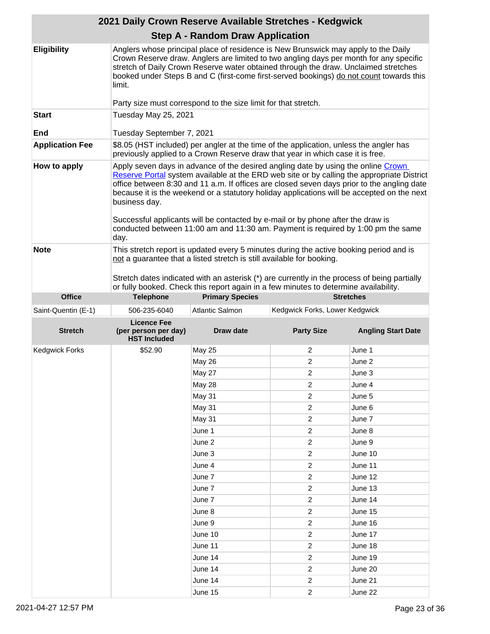|                        | 2021 Daily Crown Reserve Available Stretches - Kedgwick                                                                                                                                                                                                                                                                                                                                                                                                                                                                                                                     |                                                                       |                                                                                                                                                                                                                                                                                                                                                                |                           |
|------------------------|-----------------------------------------------------------------------------------------------------------------------------------------------------------------------------------------------------------------------------------------------------------------------------------------------------------------------------------------------------------------------------------------------------------------------------------------------------------------------------------------------------------------------------------------------------------------------------|-----------------------------------------------------------------------|----------------------------------------------------------------------------------------------------------------------------------------------------------------------------------------------------------------------------------------------------------------------------------------------------------------------------------------------------------------|---------------------------|
|                        |                                                                                                                                                                                                                                                                                                                                                                                                                                                                                                                                                                             | <b>Step A - Random Draw Application</b>                               |                                                                                                                                                                                                                                                                                                                                                                |                           |
| <b>Eligibility</b>     | limit.                                                                                                                                                                                                                                                                                                                                                                                                                                                                                                                                                                      |                                                                       | Anglers whose principal place of residence is New Brunswick may apply to the Daily<br>Crown Reserve draw. Anglers are limited to two angling days per month for any specific<br>stretch of Daily Crown Reserve water obtained through the draw. Unclaimed stretches<br>booked under Steps B and C (first-come first-served bookings) do not count towards this |                           |
|                        |                                                                                                                                                                                                                                                                                                                                                                                                                                                                                                                                                                             | Party size must correspond to the size limit for that stretch.        |                                                                                                                                                                                                                                                                                                                                                                |                           |
| <b>Start</b><br>End    | Tuesday May 25, 2021<br>Tuesday September 7, 2021                                                                                                                                                                                                                                                                                                                                                                                                                                                                                                                           |                                                                       |                                                                                                                                                                                                                                                                                                                                                                |                           |
| <b>Application Fee</b> | \$8.05 (HST included) per angler at the time of the application, unless the angler has<br>previously applied to a Crown Reserve draw that year in which case it is free.                                                                                                                                                                                                                                                                                                                                                                                                    |                                                                       |                                                                                                                                                                                                                                                                                                                                                                |                           |
| How to apply           | Apply seven days in advance of the desired angling date by using the online Crown<br>Reserve Portal system available at the ERD web site or by calling the appropriate District<br>office between 8:30 and 11 a.m. If offices are closed seven days prior to the angling date<br>because it is the weekend or a statutory holiday applications will be accepted on the next<br>business day.<br>Successful applicants will be contacted by e-mail or by phone after the draw is<br>conducted between 11:00 am and 11:30 am. Payment is required by 1:00 pm the same<br>day. |                                                                       |                                                                                                                                                                                                                                                                                                                                                                |                           |
| <b>Note</b>            |                                                                                                                                                                                                                                                                                                                                                                                                                                                                                                                                                                             | not a guarantee that a listed stretch is still available for booking. | This stretch report is updated every 5 minutes during the active booking period and is<br>Stretch dates indicated with an asterisk (*) are currently in the process of being partially<br>or fully booked. Check this report again in a few minutes to determine availability.                                                                                 |                           |
| <b>Office</b>          | <b>Telephone</b>                                                                                                                                                                                                                                                                                                                                                                                                                                                                                                                                                            | <b>Primary Species</b>                                                |                                                                                                                                                                                                                                                                                                                                                                | <b>Stretches</b>          |
| Saint-Quentin (E-1)    | 506-235-6040                                                                                                                                                                                                                                                                                                                                                                                                                                                                                                                                                                | Atlantic Salmon                                                       | Kedgwick Forks, Lower Kedgwick                                                                                                                                                                                                                                                                                                                                 |                           |
| <b>Stretch</b>         | <b>Licence Fee</b><br>(per person per day)<br><b>HST Included</b>                                                                                                                                                                                                                                                                                                                                                                                                                                                                                                           | <b>Draw date</b>                                                      | <b>Party Size</b>                                                                                                                                                                                                                                                                                                                                              | <b>Angling Start Date</b> |
| <b>Kedgwick Forks</b>  | \$52.90                                                                                                                                                                                                                                                                                                                                                                                                                                                                                                                                                                     | <b>May 25</b>                                                         | 2                                                                                                                                                                                                                                                                                                                                                              | June 1                    |
|                        |                                                                                                                                                                                                                                                                                                                                                                                                                                                                                                                                                                             | May 26                                                                | 2                                                                                                                                                                                                                                                                                                                                                              | June 2                    |
|                        |                                                                                                                                                                                                                                                                                                                                                                                                                                                                                                                                                                             | May 27                                                                | 2                                                                                                                                                                                                                                                                                                                                                              | June 3                    |
|                        |                                                                                                                                                                                                                                                                                                                                                                                                                                                                                                                                                                             | <b>May 28</b>                                                         | $\boldsymbol{2}$                                                                                                                                                                                                                                                                                                                                               | June 4                    |
|                        |                                                                                                                                                                                                                                                                                                                                                                                                                                                                                                                                                                             | May 31                                                                | $\boldsymbol{2}$                                                                                                                                                                                                                                                                                                                                               |                           |
|                        |                                                                                                                                                                                                                                                                                                                                                                                                                                                                                                                                                                             |                                                                       |                                                                                                                                                                                                                                                                                                                                                                |                           |
|                        |                                                                                                                                                                                                                                                                                                                                                                                                                                                                                                                                                                             |                                                                       |                                                                                                                                                                                                                                                                                                                                                                | June 5                    |
|                        |                                                                                                                                                                                                                                                                                                                                                                                                                                                                                                                                                                             | May 31                                                                | $\overline{c}$                                                                                                                                                                                                                                                                                                                                                 | June 6                    |
|                        |                                                                                                                                                                                                                                                                                                                                                                                                                                                                                                                                                                             | <b>May 31</b>                                                         | $\overline{c}$                                                                                                                                                                                                                                                                                                                                                 | June 7                    |
|                        |                                                                                                                                                                                                                                                                                                                                                                                                                                                                                                                                                                             | June 1                                                                | $\overline{\mathbf{c}}$                                                                                                                                                                                                                                                                                                                                        | June 8                    |
|                        |                                                                                                                                                                                                                                                                                                                                                                                                                                                                                                                                                                             | June 2                                                                | $\boldsymbol{2}$                                                                                                                                                                                                                                                                                                                                               | June 9                    |
|                        |                                                                                                                                                                                                                                                                                                                                                                                                                                                                                                                                                                             | June 3                                                                | $\boldsymbol{2}$                                                                                                                                                                                                                                                                                                                                               | June 10                   |
|                        |                                                                                                                                                                                                                                                                                                                                                                                                                                                                                                                                                                             | June 4                                                                | $\overline{c}$                                                                                                                                                                                                                                                                                                                                                 | June 11                   |
|                        |                                                                                                                                                                                                                                                                                                                                                                                                                                                                                                                                                                             | June 7                                                                | $\overline{c}$                                                                                                                                                                                                                                                                                                                                                 | June 12                   |
|                        |                                                                                                                                                                                                                                                                                                                                                                                                                                                                                                                                                                             | June 7                                                                | $\overline{\mathbf{c}}$                                                                                                                                                                                                                                                                                                                                        | June 13                   |
|                        |                                                                                                                                                                                                                                                                                                                                                                                                                                                                                                                                                                             | June 7                                                                | $\boldsymbol{2}$                                                                                                                                                                                                                                                                                                                                               | June 14                   |
|                        |                                                                                                                                                                                                                                                                                                                                                                                                                                                                                                                                                                             | June 8                                                                | $\boldsymbol{2}$                                                                                                                                                                                                                                                                                                                                               | June 15                   |
|                        |                                                                                                                                                                                                                                                                                                                                                                                                                                                                                                                                                                             | June 9                                                                | $\overline{c}$                                                                                                                                                                                                                                                                                                                                                 | June 16                   |
|                        |                                                                                                                                                                                                                                                                                                                                                                                                                                                                                                                                                                             | June 10                                                               | $\overline{c}$                                                                                                                                                                                                                                                                                                                                                 | June 17                   |
|                        |                                                                                                                                                                                                                                                                                                                                                                                                                                                                                                                                                                             | June 11                                                               | $\overline{\mathbf{c}}$                                                                                                                                                                                                                                                                                                                                        | June 18                   |
|                        |                                                                                                                                                                                                                                                                                                                                                                                                                                                                                                                                                                             | June 14                                                               | $\boldsymbol{2}$                                                                                                                                                                                                                                                                                                                                               | June 19                   |
|                        |                                                                                                                                                                                                                                                                                                                                                                                                                                                                                                                                                                             | June 14<br>June 14                                                    | $\boldsymbol{2}$<br>$\overline{c}$                                                                                                                                                                                                                                                                                                                             | June 20<br>June 21        |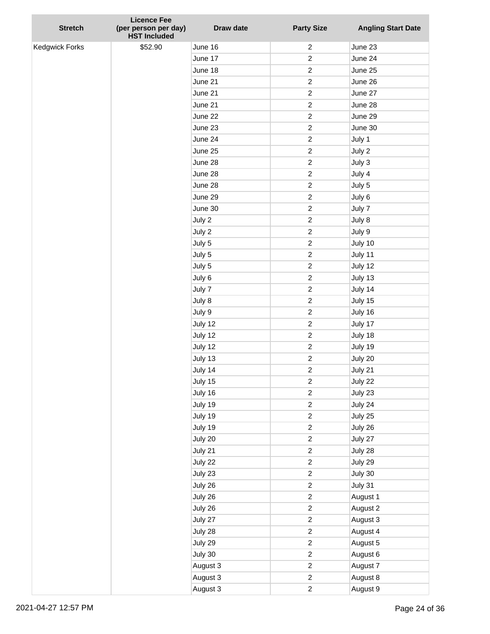| <b>Stretch</b> | <b>Licence Fee</b><br>(per person per day)<br><b>HST Included</b> | Draw date | <b>Party Size</b> | <b>Angling Start Date</b> |
|----------------|-------------------------------------------------------------------|-----------|-------------------|---------------------------|
| Kedgwick Forks | \$52.90                                                           | June 16   | $\overline{c}$    | June 23                   |
|                |                                                                   | June 17   | $\overline{c}$    | June 24                   |
|                |                                                                   | June 18   | $\overline{c}$    | June 25                   |
|                |                                                                   | June 21   | $\overline{c}$    | June 26                   |
|                |                                                                   | June 21   | $\overline{c}$    | June 27                   |
|                |                                                                   | June 21   | $\overline{c}$    | June 28                   |
|                |                                                                   | June 22   | $\boldsymbol{2}$  | June 29                   |
|                |                                                                   | June 23   | $\overline{c}$    | June 30                   |
|                |                                                                   | June 24   | $\overline{c}$    | July 1                    |
|                |                                                                   | June 25   | $\overline{c}$    | July 2                    |
|                |                                                                   | June 28   | $\overline{c}$    | July 3                    |
|                |                                                                   | June 28   | $\overline{c}$    | July 4                    |
|                |                                                                   | June 28   | $\overline{c}$    | July 5                    |
|                |                                                                   | June 29   | $\overline{c}$    | July 6                    |
|                |                                                                   | June 30   | $\overline{c}$    | July 7                    |
|                |                                                                   | July 2    | $\overline{c}$    | July 8                    |
|                |                                                                   | July 2    | $\overline{c}$    | July 9                    |
|                |                                                                   | July 5    | $\overline{c}$    | July 10                   |
|                |                                                                   | July 5    | $\overline{c}$    | July 11                   |
|                |                                                                   | July 5    | $\overline{c}$    | July 12                   |
|                |                                                                   | July 6    | $\overline{c}$    | July 13                   |
|                |                                                                   | July 7    | $\overline{c}$    | July 14                   |
|                |                                                                   | July 8    | $\overline{c}$    | July 15                   |
|                |                                                                   | July 9    | $\overline{c}$    | July 16                   |
|                |                                                                   | July 12   | $\boldsymbol{2}$  | July 17                   |
|                |                                                                   | July 12   | $\overline{c}$    | July 18                   |
|                |                                                                   | July 12   | $\overline{c}$    | July 19                   |
|                |                                                                   | July 13   | $\overline{c}$    | July 20                   |
|                |                                                                   | July 14   | $\overline{c}$    | July 21                   |
|                |                                                                   | July 15   | $\overline{c}$    | July 22                   |
|                |                                                                   | July 16   | $\overline{c}$    | July 23                   |
|                |                                                                   | July 19   | $\overline{c}$    | July 24                   |
|                |                                                                   | July 19   | $\overline{c}$    | July 25                   |
|                |                                                                   | July 19   | $\overline{c}$    | July 26                   |
|                |                                                                   | July 20   | $\overline{c}$    | July 27                   |
|                |                                                                   | July 21   | $\overline{c}$    | July 28                   |
|                |                                                                   | July 22   | $\overline{c}$    | July 29                   |
|                |                                                                   | July 23   | $\overline{c}$    | July 30                   |
|                |                                                                   | July 26   | $\overline{c}$    | July 31                   |
|                |                                                                   | July 26   | $\overline{c}$    | August 1                  |
|                |                                                                   | July 26   | $\overline{c}$    | August 2                  |
|                |                                                                   | July 27   | $\overline{c}$    | August 3                  |
|                |                                                                   | July 28   | $\overline{c}$    | August 4                  |
|                |                                                                   | July 29   | $\overline{c}$    | August 5                  |
|                |                                                                   | July 30   | $\overline{c}$    | August 6                  |
|                |                                                                   | August 3  | $\overline{c}$    | August 7                  |
|                |                                                                   | August 3  | $\overline{c}$    | August 8                  |
|                |                                                                   | August 3  | $\overline{c}$    | August 9                  |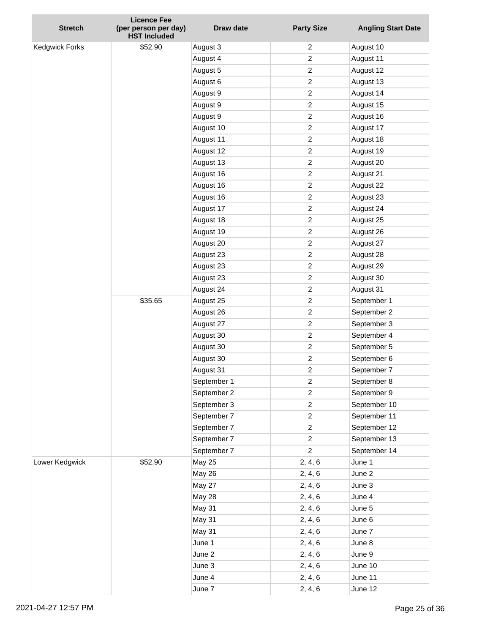|                       | <b>Licence Fee</b>                          |               |                   |                           |
|-----------------------|---------------------------------------------|---------------|-------------------|---------------------------|
| <b>Stretch</b>        | (per person per day)<br><b>HST Included</b> | Draw date     | <b>Party Size</b> | <b>Angling Start Date</b> |
| <b>Kedgwick Forks</b> | \$52.90                                     | August 3      | 2                 | August 10                 |
|                       |                                             | August 4      | $\overline{c}$    | August 11                 |
|                       |                                             | August 5      | $\overline{2}$    | August 12                 |
|                       |                                             | August 6      | $\overline{c}$    | August 13                 |
|                       |                                             | August 9      | $\overline{c}$    | August 14                 |
|                       |                                             | August 9      | $\boldsymbol{2}$  | August 15                 |
|                       |                                             | August 9      | $\boldsymbol{2}$  | August 16                 |
|                       |                                             | August 10     | $\overline{c}$    | August 17                 |
|                       |                                             | August 11     | $\overline{c}$    | August 18                 |
|                       |                                             | August 12     | $\overline{c}$    | August 19                 |
|                       |                                             | August 13     | $\boldsymbol{2}$  | August 20                 |
|                       |                                             | August 16     | $\boldsymbol{2}$  | August 21                 |
|                       |                                             | August 16     | $\overline{c}$    | August 22                 |
|                       |                                             | August 16     | $\overline{c}$    | August 23                 |
|                       |                                             | August 17     | $\boldsymbol{2}$  | August 24                 |
|                       |                                             | August 18     | $\boldsymbol{2}$  | August 25                 |
|                       |                                             | August 19     | $\boldsymbol{2}$  | August 26                 |
|                       |                                             | August 20     | $\overline{2}$    | August 27                 |
|                       |                                             | August 23     | $\overline{c}$    | August 28                 |
|                       |                                             | August 23     | $\overline{c}$    | August 29                 |
|                       |                                             | August 23     | $\boldsymbol{2}$  | August 30                 |
|                       |                                             | August 24     | $\boldsymbol{2}$  | August 31                 |
|                       | \$35.65                                     | August 25     | $\overline{c}$    | September 1               |
|                       |                                             | August 26     | $\overline{c}$    | September 2               |
|                       |                                             | August 27     | $\overline{c}$    | September 3               |
|                       |                                             | August 30     | $\boldsymbol{2}$  | September 4               |
|                       |                                             | August 30     | $\overline{c}$    | September 5               |
|                       |                                             | August 30     | $\overline{c}$    | September 6               |
|                       |                                             | August 31     | $\boldsymbol{2}$  | September 7               |
|                       |                                             | September 1   | $\overline{c}$    | September 8               |
|                       |                                             | September 2   | $\overline{c}$    | September 9               |
|                       |                                             | September 3   | $\overline{2}$    | September 10              |
|                       |                                             | September 7   | $\overline{2}$    | September 11              |
|                       |                                             | September 7   | $\overline{a}$    | September 12              |
|                       |                                             | September 7   | $\overline{c}$    | September 13              |
|                       |                                             | September 7   | $\overline{2}$    | September 14              |
| Lower Kedgwick        | \$52.90                                     | <b>May 25</b> | 2, 4, 6           | June 1                    |
|                       |                                             | <b>May 26</b> | 2, 4, 6           | June 2                    |
|                       |                                             | <b>May 27</b> | 2, 4, 6           | June 3                    |
|                       |                                             | <b>May 28</b> | 2, 4, 6           | June 4                    |
|                       |                                             | May 31        | 2, 4, 6           | June 5                    |
|                       |                                             | May 31        | 2, 4, 6           | June 6                    |
|                       |                                             | May 31        | 2, 4, 6           | June 7                    |
|                       |                                             | June 1        | 2, 4, 6           | June 8                    |
|                       |                                             | June 2        | 2, 4, 6           | June 9                    |
|                       |                                             | June 3        | 2, 4, 6           | June 10                   |
|                       |                                             | June 4        | 2, 4, 6           | June 11                   |
|                       |                                             | June 7        | 2, 4, 6           | June 12                   |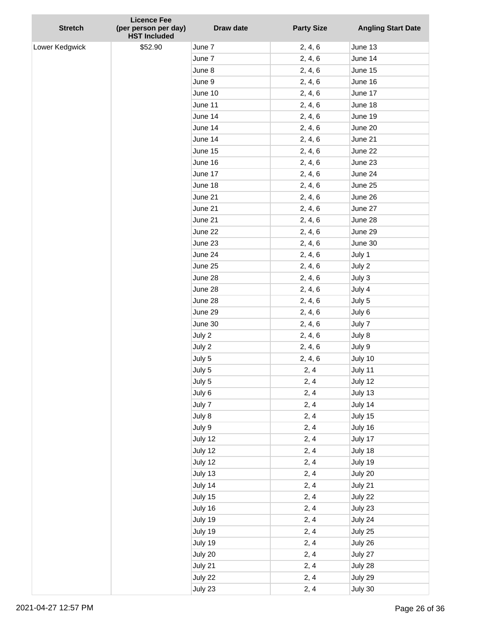|                | <b>Licence Fee</b>                          |           |                   |                           |
|----------------|---------------------------------------------|-----------|-------------------|---------------------------|
| <b>Stretch</b> | (per person per day)<br><b>HST Included</b> | Draw date | <b>Party Size</b> | <b>Angling Start Date</b> |
| Lower Kedgwick | \$52.90                                     | June 7    | 2, 4, 6           | June 13                   |
|                |                                             | June 7    | 2, 4, 6           | June 14                   |
|                |                                             | June 8    | 2, 4, 6           | June 15                   |
|                |                                             | June 9    | 2, 4, 6           | June 16                   |
|                |                                             | June 10   | 2, 4, 6           | June 17                   |
|                |                                             | June 11   | 2, 4, 6           | June 18                   |
|                |                                             | June 14   | 2, 4, 6           | June 19                   |
|                |                                             | June 14   | 2, 4, 6           | June 20                   |
|                |                                             | June 14   | 2, 4, 6           | June 21                   |
|                |                                             | June 15   | 2, 4, 6           | June 22                   |
|                |                                             | June 16   | 2, 4, 6           | June 23                   |
|                |                                             | June 17   | 2, 4, 6           | June 24                   |
|                |                                             | June 18   | 2, 4, 6           | June 25                   |
|                |                                             | June 21   | 2, 4, 6           | June 26                   |
|                |                                             | June 21   | 2, 4, 6           | June 27                   |
|                |                                             | June 21   | 2, 4, 6           | June 28                   |
|                |                                             | June 22   | 2, 4, 6           | June 29                   |
|                |                                             | June 23   | 2, 4, 6           | June 30                   |
|                |                                             | June 24   | 2, 4, 6           | July 1                    |
|                |                                             | June 25   | 2, 4, 6           | July 2                    |
|                |                                             | June 28   | 2, 4, 6           | July 3                    |
|                |                                             | June 28   | 2, 4, 6           | July 4                    |
|                |                                             | June 28   | 2, 4, 6           | July 5                    |
|                |                                             | June 29   | 2, 4, 6           | July 6                    |
|                |                                             | June 30   | 2, 4, 6           | July 7                    |
|                |                                             | July 2    | 2, 4, 6           | July 8                    |
|                |                                             | July 2    | 2, 4, 6           | July 9                    |
|                |                                             | July 5    | 2, 4, 6           | July 10                   |
|                |                                             | July 5    | 2, 4              | July 11                   |
|                |                                             | July 5    | 2, 4              | July 12                   |
|                |                                             | July 6    | 2, 4              | July 13                   |
|                |                                             | July 7    | 2, 4              | July 14                   |
|                |                                             | July 8    | 2, 4              | July 15                   |
|                |                                             | July 9    | 2, 4              | July 16                   |
|                |                                             | July 12   | 2, 4              | July 17                   |
|                |                                             | July 12   | 2, 4              | July 18                   |
|                |                                             | July 12   | 2, 4              | July 19                   |
|                |                                             | July 13   | 2, 4              | July 20                   |
|                |                                             | July 14   | 2, 4              | July 21                   |
|                |                                             | July 15   | 2, 4              | July 22                   |
|                |                                             | July 16   | 2, 4              | July 23                   |
|                |                                             | July 19   | 2, 4              | July 24                   |
|                |                                             | July 19   | 2, 4              | July 25                   |
|                |                                             | July 19   | 2, 4              | July 26                   |
|                |                                             | July 20   | 2, 4              | July 27                   |
|                |                                             | July 21   | 2, 4              | July 28                   |
|                |                                             | July 22   | 2, 4              | July 29                   |
|                |                                             | July 23   | 2, 4              | July 30                   |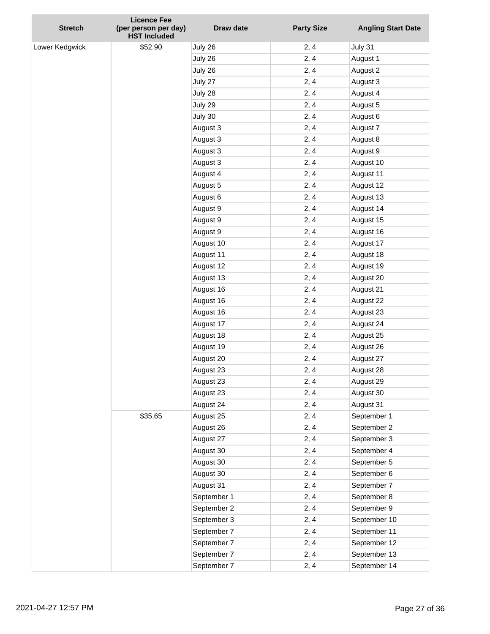| <b>Stretch</b> | <b>Licence Fee</b><br>(per person per day)<br><b>HST Included</b> | <b>Draw date</b> | <b>Party Size</b> | <b>Angling Start Date</b> |
|----------------|-------------------------------------------------------------------|------------------|-------------------|---------------------------|
| Lower Kedgwick | \$52.90                                                           | July 26          | 2, 4              | July 31                   |
|                |                                                                   | July 26          | 2, 4              | August 1                  |
|                |                                                                   | July 26          | 2, 4              | August 2                  |
|                |                                                                   | July 27          | 2, 4              | August 3                  |
|                |                                                                   | July 28          | 2, 4              | August 4                  |
|                |                                                                   | July 29          | 2, 4              | August 5                  |
|                |                                                                   | July 30          | 2, 4              | August 6                  |
|                |                                                                   | August 3         | 2, 4              | August 7                  |
|                |                                                                   | August 3         | 2, 4              | August 8                  |
|                |                                                                   | August 3         | 2, 4              | August 9                  |
|                |                                                                   | August 3         | 2, 4              | August 10                 |
|                |                                                                   | August 4         | 2, 4              | August 11                 |
|                |                                                                   | August 5         | 2, 4              | August 12                 |
|                |                                                                   | August 6         | 2, 4              | August 13                 |
|                |                                                                   | August 9         | 2, 4              | August 14                 |
|                |                                                                   | August 9         | 2, 4              | August 15                 |
|                |                                                                   | August 9         | 2, 4              | August 16                 |
|                |                                                                   | August 10        | 2, 4              | August 17                 |
|                |                                                                   | August 11        | 2, 4              | August 18                 |
|                |                                                                   | August 12        | 2, 4              | August 19                 |
|                |                                                                   | August 13        | 2, 4              | August 20                 |
|                |                                                                   | August 16        | 2, 4              | August 21                 |
|                |                                                                   | August 16        | 2, 4              | August 22                 |
|                |                                                                   | August 16        | 2, 4              | August 23                 |
|                |                                                                   | August 17        | 2, 4              | August 24                 |
|                |                                                                   | August 18        | 2, 4              | August 25                 |
|                |                                                                   | August 19        | 2, 4              | August 26                 |
|                |                                                                   | August 20        | 2, 4              | August 27                 |
|                |                                                                   | August 23        | 2, 4              | August 28                 |
|                |                                                                   | August 23        | 2, 4              | August 29                 |
|                |                                                                   | August 23        | 2, 4              | August 30                 |
|                |                                                                   | August 24        | 2, 4              | August 31                 |
|                | \$35.65                                                           | August 25        | 2, 4              | September 1               |
|                |                                                                   | August 26        | 2, 4              | September 2               |
|                |                                                                   | August 27        | 2, 4              | September 3               |
|                |                                                                   | August 30        | 2, 4              | September 4               |
|                |                                                                   | August 30        | 2, 4              | September 5               |
|                |                                                                   | August 30        | 2, 4              | September 6               |
|                |                                                                   | August 31        | 2, 4              | September 7               |
|                |                                                                   | September 1      | 2, 4              | September 8               |
|                |                                                                   | September 2      | 2, 4              | September 9               |
|                |                                                                   | September 3      | 2, 4              | September 10              |
|                |                                                                   | September 7      | 2, 4              | September 11              |
|                |                                                                   | September 7      | 2, 4              | September 12              |
|                |                                                                   | September 7      | 2, 4              | September 13              |
|                |                                                                   | September 7      | 2, 4              | September 14              |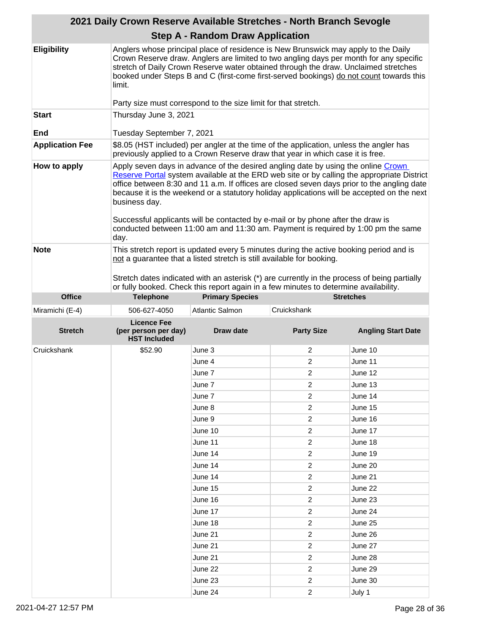|                        | 2021 Daily Crown Reserve Available Stretches - North Branch Sevogle                                                                                                                                                                                                                                                                                                                                                                                                                                                                                                                                                                                           |                                                                                                                                                                                                                                                                                                                                                                |                         |                           |
|------------------------|---------------------------------------------------------------------------------------------------------------------------------------------------------------------------------------------------------------------------------------------------------------------------------------------------------------------------------------------------------------------------------------------------------------------------------------------------------------------------------------------------------------------------------------------------------------------------------------------------------------------------------------------------------------|----------------------------------------------------------------------------------------------------------------------------------------------------------------------------------------------------------------------------------------------------------------------------------------------------------------------------------------------------------------|-------------------------|---------------------------|
|                        |                                                                                                                                                                                                                                                                                                                                                                                                                                                                                                                                                                                                                                                               | <b>Step A - Random Draw Application</b>                                                                                                                                                                                                                                                                                                                        |                         |                           |
| <b>Eligibility</b>     | limit.                                                                                                                                                                                                                                                                                                                                                                                                                                                                                                                                                                                                                                                        | Anglers whose principal place of residence is New Brunswick may apply to the Daily<br>Crown Reserve draw. Anglers are limited to two angling days per month for any specific<br>stretch of Daily Crown Reserve water obtained through the draw. Unclaimed stretches<br>booked under Steps B and C (first-come first-served bookings) do not count towards this |                         |                           |
|                        |                                                                                                                                                                                                                                                                                                                                                                                                                                                                                                                                                                                                                                                               | Party size must correspond to the size limit for that stretch.                                                                                                                                                                                                                                                                                                 |                         |                           |
| <b>Start</b><br>End    | Thursday June 3, 2021<br>Tuesday September 7, 2021                                                                                                                                                                                                                                                                                                                                                                                                                                                                                                                                                                                                            |                                                                                                                                                                                                                                                                                                                                                                |                         |                           |
| <b>Application Fee</b> |                                                                                                                                                                                                                                                                                                                                                                                                                                                                                                                                                                                                                                                               | \$8.05 (HST included) per angler at the time of the application, unless the angler has                                                                                                                                                                                                                                                                         |                         |                           |
| How to apply           | previously applied to a Crown Reserve draw that year in which case it is free.<br>Apply seven days in advance of the desired angling date by using the online Crown<br>Reserve Portal system available at the ERD web site or by calling the appropriate District<br>office between 8:30 and 11 a.m. If offices are closed seven days prior to the angling date<br>because it is the weekend or a statutory holiday applications will be accepted on the next<br>business day.<br>Successful applicants will be contacted by e-mail or by phone after the draw is<br>conducted between 11:00 am and 11:30 am. Payment is required by 1:00 pm the same<br>day. |                                                                                                                                                                                                                                                                                                                                                                |                         |                           |
| <b>Note</b>            | This stretch report is updated every 5 minutes during the active booking period and is<br>not a guarantee that a listed stretch is still available for booking.<br>Stretch dates indicated with an asterisk (*) are currently in the process of being partially<br>or fully booked. Check this report again in a few minutes to determine availability.                                                                                                                                                                                                                                                                                                       |                                                                                                                                                                                                                                                                                                                                                                |                         |                           |
| <b>Office</b>          | <b>Telephone</b>                                                                                                                                                                                                                                                                                                                                                                                                                                                                                                                                                                                                                                              | <b>Primary Species</b>                                                                                                                                                                                                                                                                                                                                         |                         | <b>Stretches</b>          |
| Miramichi (E-4)        | 506-627-4050                                                                                                                                                                                                                                                                                                                                                                                                                                                                                                                                                                                                                                                  | <b>Atlantic Salmon</b>                                                                                                                                                                                                                                                                                                                                         | Cruickshank             |                           |
| <b>Stretch</b>         | <b>Licence Fee</b><br>(per person per day)<br><b>HST Included</b>                                                                                                                                                                                                                                                                                                                                                                                                                                                                                                                                                                                             | Draw date                                                                                                                                                                                                                                                                                                                                                      | <b>Party Size</b>       | <b>Angling Start Date</b> |
| Cruickshank            | \$52.90                                                                                                                                                                                                                                                                                                                                                                                                                                                                                                                                                                                                                                                       | June 3                                                                                                                                                                                                                                                                                                                                                         | 2                       | June 10                   |
|                        |                                                                                                                                                                                                                                                                                                                                                                                                                                                                                                                                                                                                                                                               | June 4                                                                                                                                                                                                                                                                                                                                                         | 2                       | June 11                   |
|                        |                                                                                                                                                                                                                                                                                                                                                                                                                                                                                                                                                                                                                                                               | June 7                                                                                                                                                                                                                                                                                                                                                         | 2                       | June 12                   |
|                        |                                                                                                                                                                                                                                                                                                                                                                                                                                                                                                                                                                                                                                                               | June 7                                                                                                                                                                                                                                                                                                                                                         | 2                       | June 13                   |
|                        |                                                                                                                                                                                                                                                                                                                                                                                                                                                                                                                                                                                                                                                               | June 7                                                                                                                                                                                                                                                                                                                                                         | 2                       | June 14                   |
|                        |                                                                                                                                                                                                                                                                                                                                                                                                                                                                                                                                                                                                                                                               | June 8                                                                                                                                                                                                                                                                                                                                                         | 2                       | June 15                   |
|                        |                                                                                                                                                                                                                                                                                                                                                                                                                                                                                                                                                                                                                                                               | June 9                                                                                                                                                                                                                                                                                                                                                         | 2                       | June 16                   |
|                        |                                                                                                                                                                                                                                                                                                                                                                                                                                                                                                                                                                                                                                                               | June 10                                                                                                                                                                                                                                                                                                                                                        | $\overline{\mathbf{c}}$ | June 17                   |
|                        |                                                                                                                                                                                                                                                                                                                                                                                                                                                                                                                                                                                                                                                               | June 11                                                                                                                                                                                                                                                                                                                                                        | 2                       | June 18                   |
|                        |                                                                                                                                                                                                                                                                                                                                                                                                                                                                                                                                                                                                                                                               | June 14                                                                                                                                                                                                                                                                                                                                                        | 2                       | June 19                   |
|                        |                                                                                                                                                                                                                                                                                                                                                                                                                                                                                                                                                                                                                                                               | June 14                                                                                                                                                                                                                                                                                                                                                        | $\overline{\mathbf{c}}$ | June 20                   |
|                        |                                                                                                                                                                                                                                                                                                                                                                                                                                                                                                                                                                                                                                                               | June 14                                                                                                                                                                                                                                                                                                                                                        | 2                       | June 21                   |
|                        |                                                                                                                                                                                                                                                                                                                                                                                                                                                                                                                                                                                                                                                               | June 15                                                                                                                                                                                                                                                                                                                                                        | $\overline{\mathbf{c}}$ | June 22                   |
|                        |                                                                                                                                                                                                                                                                                                                                                                                                                                                                                                                                                                                                                                                               | June 16                                                                                                                                                                                                                                                                                                                                                        | 2                       | June 23                   |
|                        |                                                                                                                                                                                                                                                                                                                                                                                                                                                                                                                                                                                                                                                               | June 17                                                                                                                                                                                                                                                                                                                                                        | 2                       | June 24                   |
|                        |                                                                                                                                                                                                                                                                                                                                                                                                                                                                                                                                                                                                                                                               | June 18                                                                                                                                                                                                                                                                                                                                                        | 2                       | June 25                   |
|                        |                                                                                                                                                                                                                                                                                                                                                                                                                                                                                                                                                                                                                                                               | June 21                                                                                                                                                                                                                                                                                                                                                        | 2                       | June 26                   |
|                        |                                                                                                                                                                                                                                                                                                                                                                                                                                                                                                                                                                                                                                                               | June 21                                                                                                                                                                                                                                                                                                                                                        | $\overline{\mathbf{c}}$ | June 27                   |
|                        |                                                                                                                                                                                                                                                                                                                                                                                                                                                                                                                                                                                                                                                               | June 21                                                                                                                                                                                                                                                                                                                                                        | 2                       | June 28                   |
|                        |                                                                                                                                                                                                                                                                                                                                                                                                                                                                                                                                                                                                                                                               | June 22                                                                                                                                                                                                                                                                                                                                                        | 2                       | June 29                   |
|                        |                                                                                                                                                                                                                                                                                                                                                                                                                                                                                                                                                                                                                                                               | June 23                                                                                                                                                                                                                                                                                                                                                        | $\overline{\mathbf{c}}$ | June 30                   |
|                        |                                                                                                                                                                                                                                                                                                                                                                                                                                                                                                                                                                                                                                                               | June 24                                                                                                                                                                                                                                                                                                                                                        | $\overline{c}$          | July 1                    |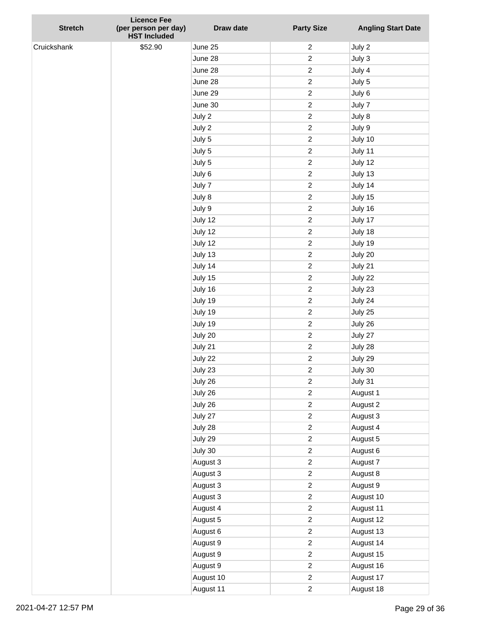| <b>Stretch</b> | <b>Licence Fee</b><br>(per person per day)<br><b>HST Included</b> | Draw date            | <b>Party Size</b>                | <b>Angling Start Date</b> |
|----------------|-------------------------------------------------------------------|----------------------|----------------------------------|---------------------------|
| Cruickshank    | \$52.90                                                           | June 25              | $\overline{c}$                   | July 2                    |
|                |                                                                   | June 28              | $\overline{c}$                   | July 3                    |
|                |                                                                   | June 28              | $\overline{c}$                   | July 4                    |
|                |                                                                   | June 28              | $\overline{c}$                   | July 5                    |
|                |                                                                   | June 29              | $\overline{c}$                   | July 6                    |
|                |                                                                   | June 30              | $\overline{c}$                   | July 7                    |
|                |                                                                   | July 2               | $\overline{c}$                   | July 8                    |
|                |                                                                   | July 2               | $\overline{c}$                   | July 9                    |
|                |                                                                   | July 5               | $\overline{c}$                   | July 10                   |
|                |                                                                   | July 5               | $\overline{c}$                   | July 11                   |
|                |                                                                   | July 5               | $\overline{c}$                   | July 12                   |
|                |                                                                   | July 6               | $\overline{c}$                   | July 13                   |
|                |                                                                   | July 7               | $\overline{c}$                   | July 14                   |
|                |                                                                   | July 8               | $\overline{c}$                   | July 15                   |
|                |                                                                   | July 9               | $\overline{c}$                   | July 16                   |
|                |                                                                   | July 12              | $\overline{c}$                   | July 17                   |
|                |                                                                   | July 12              | $\overline{c}$                   | July 18                   |
|                |                                                                   | July 12              | $\overline{c}$                   | July 19                   |
|                |                                                                   | July 13              | $\overline{c}$                   | July 20                   |
|                |                                                                   | July 14              | $\overline{c}$                   | July 21                   |
|                |                                                                   | July 15              | $\overline{c}$                   | July 22                   |
|                |                                                                   | July 16              | $\overline{c}$                   | July 23                   |
|                |                                                                   | July 19              | $\overline{c}$                   | July 24                   |
|                |                                                                   | July 19              | $\overline{c}$                   | July 25                   |
|                |                                                                   | July 19              | $\overline{c}$                   | July 26                   |
|                |                                                                   | July 20              | $\overline{c}$                   | July 27                   |
|                |                                                                   | July 21              | $\overline{c}$                   | July 28                   |
|                |                                                                   | July 22              | $\overline{c}$                   | July 29                   |
|                |                                                                   | July 23              | $\overline{c}$                   | July 30                   |
|                |                                                                   | July 26              | $\overline{c}$                   | July 31                   |
|                |                                                                   | July 26              | $\overline{c}$                   | August 1                  |
|                |                                                                   | July 26              | $\overline{c}$                   | August 2                  |
|                |                                                                   | July 27              | $\overline{c}$                   | August 3                  |
|                |                                                                   | July 28              | $\overline{c}$                   | August 4                  |
|                |                                                                   | July 29              | $\overline{c}$                   | August 5                  |
|                |                                                                   | July 30              | $\overline{c}$                   | August 6                  |
|                |                                                                   | August 3             | $\overline{c}$                   | August 7                  |
|                |                                                                   | August 3             | $\overline{c}$                   | August 8                  |
|                |                                                                   | August 3             | $\overline{c}$                   | August 9                  |
|                |                                                                   | August 3             | $\overline{c}$                   | August 10                 |
|                |                                                                   | August 4             | $\overline{c}$<br>$\overline{c}$ | August 11                 |
|                |                                                                   | August 5             | $\overline{c}$                   | August 12<br>August 13    |
|                |                                                                   | August 6             | $\overline{c}$                   |                           |
|                |                                                                   | August 9             | $\overline{c}$                   | August 14<br>August 15    |
|                |                                                                   | August 9<br>August 9 | $\overline{c}$                   | August 16                 |
|                |                                                                   | August 10            | $\overline{c}$                   | August 17                 |
|                |                                                                   | August 11            | $\overline{c}$                   | August 18                 |
|                |                                                                   |                      |                                  |                           |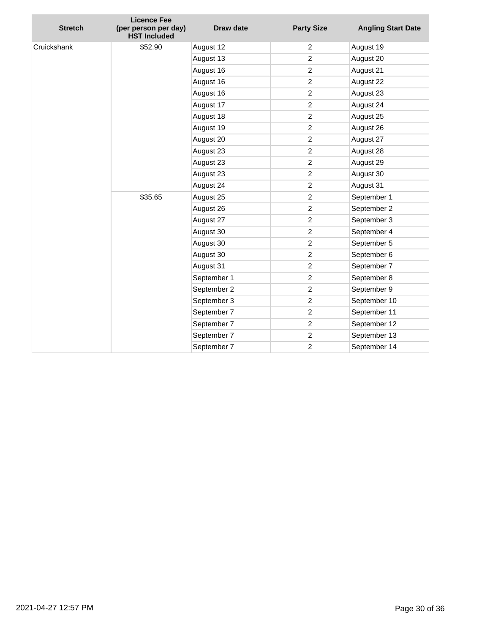| Cruickshank<br>\$52.90<br>August 12<br>$\overline{c}$<br>August 19<br>$\overline{c}$<br>August 13<br>August 20<br>2<br>August 21<br>August 16<br>$\boldsymbol{2}$<br>August 16<br>August 22<br>$\overline{c}$<br>August 16<br>August 23<br>$\overline{c}$<br>August 17<br>August 24<br>$\overline{c}$<br>August 18<br>August 25<br>$\overline{c}$<br>August 19<br>August 26<br>$\overline{c}$<br>August 27<br>August 20<br>August 23<br>2<br>August 28<br>$\overline{c}$<br>August 23<br>August 29<br>$\overline{c}$<br>August 30<br>August 23<br>$\overline{c}$<br>August 24<br>August 31<br>\$35.65<br>$\overline{c}$<br>September 1<br>August 25<br>$\overline{2}$<br>September 2<br>August 26<br>$\overline{c}$<br>September 3<br>August 27<br>$\overline{c}$<br>September 4<br>August 30<br>$\boldsymbol{2}$<br>September 5<br>August 30<br>2<br>September 6<br>August 30<br>$\boldsymbol{2}$<br>August 31<br>September 7<br>2<br>September 8<br>September 1<br>$\boldsymbol{2}$<br>September 2<br>September 9<br>$\overline{c}$<br>September 10<br>September 3<br>$\overline{c}$<br>September 7<br>September 11<br>$\boldsymbol{2}$<br>September 12<br>September 7<br>$\boldsymbol{2}$<br>September 7<br>September 13<br>$\overline{c}$<br>September 14<br>September 7 | <b>Stretch</b> | <b>Licence Fee</b><br>(per person per day)<br><b>HST Included</b> | <b>Draw date</b> | <b>Party Size</b> | <b>Angling Start Date</b> |
|------------------------------------------------------------------------------------------------------------------------------------------------------------------------------------------------------------------------------------------------------------------------------------------------------------------------------------------------------------------------------------------------------------------------------------------------------------------------------------------------------------------------------------------------------------------------------------------------------------------------------------------------------------------------------------------------------------------------------------------------------------------------------------------------------------------------------------------------------------------------------------------------------------------------------------------------------------------------------------------------------------------------------------------------------------------------------------------------------------------------------------------------------------------------------------------------------------------------------------------------------------------------------|----------------|-------------------------------------------------------------------|------------------|-------------------|---------------------------|
|                                                                                                                                                                                                                                                                                                                                                                                                                                                                                                                                                                                                                                                                                                                                                                                                                                                                                                                                                                                                                                                                                                                                                                                                                                                                              |                |                                                                   |                  |                   |                           |
|                                                                                                                                                                                                                                                                                                                                                                                                                                                                                                                                                                                                                                                                                                                                                                                                                                                                                                                                                                                                                                                                                                                                                                                                                                                                              |                |                                                                   |                  |                   |                           |
|                                                                                                                                                                                                                                                                                                                                                                                                                                                                                                                                                                                                                                                                                                                                                                                                                                                                                                                                                                                                                                                                                                                                                                                                                                                                              |                |                                                                   |                  |                   |                           |
|                                                                                                                                                                                                                                                                                                                                                                                                                                                                                                                                                                                                                                                                                                                                                                                                                                                                                                                                                                                                                                                                                                                                                                                                                                                                              |                |                                                                   |                  |                   |                           |
|                                                                                                                                                                                                                                                                                                                                                                                                                                                                                                                                                                                                                                                                                                                                                                                                                                                                                                                                                                                                                                                                                                                                                                                                                                                                              |                |                                                                   |                  |                   |                           |
|                                                                                                                                                                                                                                                                                                                                                                                                                                                                                                                                                                                                                                                                                                                                                                                                                                                                                                                                                                                                                                                                                                                                                                                                                                                                              |                |                                                                   |                  |                   |                           |
|                                                                                                                                                                                                                                                                                                                                                                                                                                                                                                                                                                                                                                                                                                                                                                                                                                                                                                                                                                                                                                                                                                                                                                                                                                                                              |                |                                                                   |                  |                   |                           |
|                                                                                                                                                                                                                                                                                                                                                                                                                                                                                                                                                                                                                                                                                                                                                                                                                                                                                                                                                                                                                                                                                                                                                                                                                                                                              |                |                                                                   |                  |                   |                           |
|                                                                                                                                                                                                                                                                                                                                                                                                                                                                                                                                                                                                                                                                                                                                                                                                                                                                                                                                                                                                                                                                                                                                                                                                                                                                              |                |                                                                   |                  |                   |                           |
|                                                                                                                                                                                                                                                                                                                                                                                                                                                                                                                                                                                                                                                                                                                                                                                                                                                                                                                                                                                                                                                                                                                                                                                                                                                                              |                |                                                                   |                  |                   |                           |
|                                                                                                                                                                                                                                                                                                                                                                                                                                                                                                                                                                                                                                                                                                                                                                                                                                                                                                                                                                                                                                                                                                                                                                                                                                                                              |                |                                                                   |                  |                   |                           |
|                                                                                                                                                                                                                                                                                                                                                                                                                                                                                                                                                                                                                                                                                                                                                                                                                                                                                                                                                                                                                                                                                                                                                                                                                                                                              |                |                                                                   |                  |                   |                           |
|                                                                                                                                                                                                                                                                                                                                                                                                                                                                                                                                                                                                                                                                                                                                                                                                                                                                                                                                                                                                                                                                                                                                                                                                                                                                              |                |                                                                   |                  |                   |                           |
|                                                                                                                                                                                                                                                                                                                                                                                                                                                                                                                                                                                                                                                                                                                                                                                                                                                                                                                                                                                                                                                                                                                                                                                                                                                                              |                |                                                                   |                  |                   |                           |
|                                                                                                                                                                                                                                                                                                                                                                                                                                                                                                                                                                                                                                                                                                                                                                                                                                                                                                                                                                                                                                                                                                                                                                                                                                                                              |                |                                                                   |                  |                   |                           |
|                                                                                                                                                                                                                                                                                                                                                                                                                                                                                                                                                                                                                                                                                                                                                                                                                                                                                                                                                                                                                                                                                                                                                                                                                                                                              |                |                                                                   |                  |                   |                           |
|                                                                                                                                                                                                                                                                                                                                                                                                                                                                                                                                                                                                                                                                                                                                                                                                                                                                                                                                                                                                                                                                                                                                                                                                                                                                              |                |                                                                   |                  |                   |                           |
|                                                                                                                                                                                                                                                                                                                                                                                                                                                                                                                                                                                                                                                                                                                                                                                                                                                                                                                                                                                                                                                                                                                                                                                                                                                                              |                |                                                                   |                  |                   |                           |
|                                                                                                                                                                                                                                                                                                                                                                                                                                                                                                                                                                                                                                                                                                                                                                                                                                                                                                                                                                                                                                                                                                                                                                                                                                                                              |                |                                                                   |                  |                   |                           |
|                                                                                                                                                                                                                                                                                                                                                                                                                                                                                                                                                                                                                                                                                                                                                                                                                                                                                                                                                                                                                                                                                                                                                                                                                                                                              |                |                                                                   |                  |                   |                           |
|                                                                                                                                                                                                                                                                                                                                                                                                                                                                                                                                                                                                                                                                                                                                                                                                                                                                                                                                                                                                                                                                                                                                                                                                                                                                              |                |                                                                   |                  |                   |                           |
|                                                                                                                                                                                                                                                                                                                                                                                                                                                                                                                                                                                                                                                                                                                                                                                                                                                                                                                                                                                                                                                                                                                                                                                                                                                                              |                |                                                                   |                  |                   |                           |
|                                                                                                                                                                                                                                                                                                                                                                                                                                                                                                                                                                                                                                                                                                                                                                                                                                                                                                                                                                                                                                                                                                                                                                                                                                                                              |                |                                                                   |                  |                   |                           |
|                                                                                                                                                                                                                                                                                                                                                                                                                                                                                                                                                                                                                                                                                                                                                                                                                                                                                                                                                                                                                                                                                                                                                                                                                                                                              |                |                                                                   |                  |                   |                           |
|                                                                                                                                                                                                                                                                                                                                                                                                                                                                                                                                                                                                                                                                                                                                                                                                                                                                                                                                                                                                                                                                                                                                                                                                                                                                              |                |                                                                   |                  |                   |                           |
|                                                                                                                                                                                                                                                                                                                                                                                                                                                                                                                                                                                                                                                                                                                                                                                                                                                                                                                                                                                                                                                                                                                                                                                                                                                                              |                |                                                                   |                  |                   |                           |
|                                                                                                                                                                                                                                                                                                                                                                                                                                                                                                                                                                                                                                                                                                                                                                                                                                                                                                                                                                                                                                                                                                                                                                                                                                                                              |                |                                                                   |                  |                   |                           |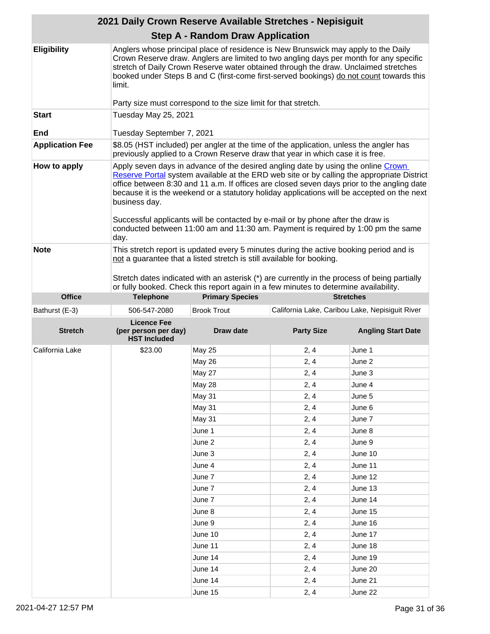| 2021 Daily Crown Reserve Available Stretches - Nepisiguit |                                                                                                                                                                                                                                                                                                                                                                                                                                                                                                                                                                             |                                                                                        |                                                 |                           |
|-----------------------------------------------------------|-----------------------------------------------------------------------------------------------------------------------------------------------------------------------------------------------------------------------------------------------------------------------------------------------------------------------------------------------------------------------------------------------------------------------------------------------------------------------------------------------------------------------------------------------------------------------------|----------------------------------------------------------------------------------------|-------------------------------------------------|---------------------------|
|                                                           |                                                                                                                                                                                                                                                                                                                                                                                                                                                                                                                                                                             | <b>Step A - Random Draw Application</b>                                                |                                                 |                           |
| <b>Eligibility</b>                                        | Anglers whose principal place of residence is New Brunswick may apply to the Daily<br>Crown Reserve draw. Anglers are limited to two angling days per month for any specific<br>stretch of Daily Crown Reserve water obtained through the draw. Unclaimed stretches<br>booked under Steps B and C (first-come first-served bookings) do not count towards this<br>limit.                                                                                                                                                                                                    |                                                                                        |                                                 |                           |
|                                                           |                                                                                                                                                                                                                                                                                                                                                                                                                                                                                                                                                                             | Party size must correspond to the size limit for that stretch.                         |                                                 |                           |
| <b>Start</b><br>End                                       | Tuesday May 25, 2021<br>Tuesday September 7, 2021                                                                                                                                                                                                                                                                                                                                                                                                                                                                                                                           |                                                                                        |                                                 |                           |
| <b>Application Fee</b>                                    |                                                                                                                                                                                                                                                                                                                                                                                                                                                                                                                                                                             | \$8.05 (HST included) per angler at the time of the application, unless the angler has |                                                 |                           |
|                                                           |                                                                                                                                                                                                                                                                                                                                                                                                                                                                                                                                                                             | previously applied to a Crown Reserve draw that year in which case it is free.         |                                                 |                           |
| How to apply                                              | Apply seven days in advance of the desired angling date by using the online Crown<br>Reserve Portal system available at the ERD web site or by calling the appropriate District<br>office between 8:30 and 11 a.m. If offices are closed seven days prior to the angling date<br>because it is the weekend or a statutory holiday applications will be accepted on the next<br>business day.<br>Successful applicants will be contacted by e-mail or by phone after the draw is<br>conducted between 11:00 am and 11:30 am. Payment is required by 1:00 pm the same<br>day. |                                                                                        |                                                 |                           |
| <b>Note</b>                                               | This stretch report is updated every 5 minutes during the active booking period and is<br>not a guarantee that a listed stretch is still available for booking.<br>Stretch dates indicated with an asterisk (*) are currently in the process of being partially<br>or fully booked. Check this report again in a few minutes to determine availability.                                                                                                                                                                                                                     |                                                                                        |                                                 |                           |
| <b>Office</b>                                             | <b>Telephone</b>                                                                                                                                                                                                                                                                                                                                                                                                                                                                                                                                                            | <b>Primary Species</b>                                                                 |                                                 | <b>Stretches</b>          |
| Bathurst (E-3)                                            | 506-547-2080                                                                                                                                                                                                                                                                                                                                                                                                                                                                                                                                                                | <b>Brook Trout</b>                                                                     | California Lake, Caribou Lake, Nepisiguit River |                           |
| <b>Stretch</b>                                            | <b>Licence Fee</b><br>(per person per day)<br><b>HST Included</b>                                                                                                                                                                                                                                                                                                                                                                                                                                                                                                           | Draw date                                                                              | <b>Party Size</b>                               | <b>Angling Start Date</b> |
| California Lake                                           | \$23.00                                                                                                                                                                                                                                                                                                                                                                                                                                                                                                                                                                     | <b>May 25</b>                                                                          | 2, 4                                            | June 1                    |
|                                                           |                                                                                                                                                                                                                                                                                                                                                                                                                                                                                                                                                                             | May 26                                                                                 | 2, 4                                            | June 2                    |
|                                                           |                                                                                                                                                                                                                                                                                                                                                                                                                                                                                                                                                                             | May 27                                                                                 | 2, 4                                            | June 3                    |
|                                                           |                                                                                                                                                                                                                                                                                                                                                                                                                                                                                                                                                                             | <b>May 28</b>                                                                          | 2, 4                                            | June 4                    |
|                                                           |                                                                                                                                                                                                                                                                                                                                                                                                                                                                                                                                                                             | May 31                                                                                 | 2, 4                                            | June 5                    |
|                                                           |                                                                                                                                                                                                                                                                                                                                                                                                                                                                                                                                                                             | May 31                                                                                 | 2, 4                                            | June 6                    |
|                                                           |                                                                                                                                                                                                                                                                                                                                                                                                                                                                                                                                                                             | May 31                                                                                 | 2, 4                                            | June 7                    |
|                                                           |                                                                                                                                                                                                                                                                                                                                                                                                                                                                                                                                                                             | June 1                                                                                 | 2, 4                                            | June 8                    |
|                                                           |                                                                                                                                                                                                                                                                                                                                                                                                                                                                                                                                                                             | June 2                                                                                 | 2, 4                                            | June 9                    |
|                                                           |                                                                                                                                                                                                                                                                                                                                                                                                                                                                                                                                                                             | June 3                                                                                 | 2, 4                                            | June 10                   |
|                                                           |                                                                                                                                                                                                                                                                                                                                                                                                                                                                                                                                                                             | June 4                                                                                 | 2, 4                                            | June 11                   |
|                                                           |                                                                                                                                                                                                                                                                                                                                                                                                                                                                                                                                                                             | June 7                                                                                 | 2, 4                                            | June 12                   |
|                                                           |                                                                                                                                                                                                                                                                                                                                                                                                                                                                                                                                                                             | June 7                                                                                 | 2, 4                                            | June 13                   |
|                                                           |                                                                                                                                                                                                                                                                                                                                                                                                                                                                                                                                                                             | June 7                                                                                 | 2, 4                                            | June 14                   |
|                                                           |                                                                                                                                                                                                                                                                                                                                                                                                                                                                                                                                                                             | June 8                                                                                 | 2, 4                                            | June 15                   |
|                                                           |                                                                                                                                                                                                                                                                                                                                                                                                                                                                                                                                                                             | June 9                                                                                 | 2, 4                                            | June 16                   |
|                                                           |                                                                                                                                                                                                                                                                                                                                                                                                                                                                                                                                                                             | June 10                                                                                | 2, 4                                            | June 17                   |
|                                                           |                                                                                                                                                                                                                                                                                                                                                                                                                                                                                                                                                                             | June 11                                                                                | 2, 4                                            | June 18                   |
|                                                           |                                                                                                                                                                                                                                                                                                                                                                                                                                                                                                                                                                             | June 14                                                                                | 2, 4                                            | June 19                   |
|                                                           |                                                                                                                                                                                                                                                                                                                                                                                                                                                                                                                                                                             |                                                                                        |                                                 |                           |
|                                                           |                                                                                                                                                                                                                                                                                                                                                                                                                                                                                                                                                                             | June 14                                                                                | 2, 4                                            | June 20                   |
|                                                           |                                                                                                                                                                                                                                                                                                                                                                                                                                                                                                                                                                             | June 14                                                                                | 2, 4                                            | June 21                   |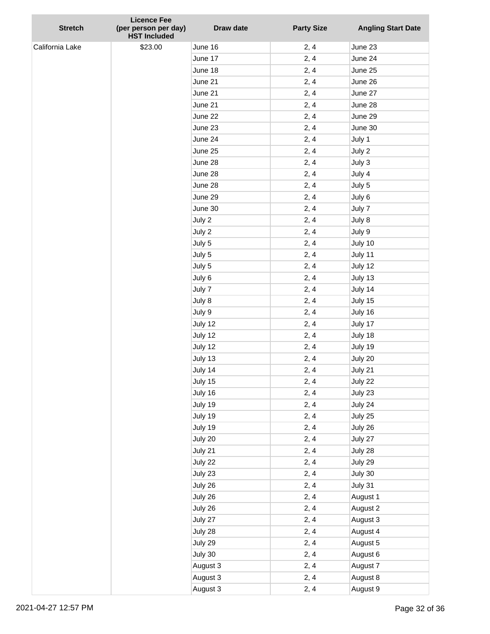| <b>Stretch</b>  | <b>Licence Fee</b><br>(per person per day)<br><b>HST Included</b> | Draw date | <b>Party Size</b> | <b>Angling Start Date</b> |
|-----------------|-------------------------------------------------------------------|-----------|-------------------|---------------------------|
| California Lake | \$23.00                                                           | June 16   | 2, 4              | June 23                   |
|                 |                                                                   | June 17   | 2, 4              | June 24                   |
|                 |                                                                   | June 18   | 2, 4              | June 25                   |
|                 |                                                                   | June 21   | 2, 4              | June 26                   |
|                 |                                                                   | June 21   | 2, 4              | June 27                   |
|                 |                                                                   | June 21   | 2, 4              | June 28                   |
|                 |                                                                   | June 22   | 2, 4              | June 29                   |
|                 |                                                                   | June 23   | 2, 4              | June 30                   |
|                 |                                                                   | June 24   | 2, 4              | July 1                    |
|                 |                                                                   | June 25   | 2, 4              | July 2                    |
|                 |                                                                   | June 28   | 2, 4              | July 3                    |
|                 |                                                                   | June 28   | 2, 4              | July 4                    |
|                 |                                                                   | June 28   | 2, 4              | July 5                    |
|                 |                                                                   | June 29   | 2, 4              | July 6                    |
|                 |                                                                   | June 30   | 2, 4              | July 7                    |
|                 |                                                                   | July 2    | 2, 4              | July 8                    |
|                 |                                                                   | July 2    | 2, 4              | July 9                    |
|                 |                                                                   | July 5    | 2, 4              | July 10                   |
|                 |                                                                   | July 5    | 2, 4              | July 11                   |
|                 |                                                                   | July 5    | 2, 4              | July 12                   |
|                 |                                                                   | July 6    | 2, 4              | July 13                   |
|                 |                                                                   | July 7    | 2, 4              | July 14                   |
|                 |                                                                   | July 8    | 2, 4              | July 15                   |
|                 |                                                                   | July 9    | 2, 4              | July 16                   |
|                 |                                                                   | July 12   | 2, 4              | July 17                   |
|                 |                                                                   | July 12   | 2, 4              | July 18                   |
|                 |                                                                   | July 12   | 2, 4              | July 19                   |
|                 |                                                                   | July 13   | 2, 4              | July 20                   |
|                 |                                                                   | July 14   | 2, 4              | July 21                   |
|                 |                                                                   | July 15   | 2, 4              | July 22                   |
|                 |                                                                   | July 16   | 2, 4              | July 23                   |
|                 |                                                                   | July 19   | 2, 4              | July 24                   |
|                 |                                                                   | July 19   | 2, 4              | July 25                   |
|                 |                                                                   | July 19   | 2, 4              | July 26                   |
|                 |                                                                   | July 20   | 2, 4              | July 27                   |
|                 |                                                                   | July 21   | 2, 4              | July 28                   |
|                 |                                                                   | July 22   | 2, 4              | July 29                   |
|                 |                                                                   | July 23   | 2, 4              | July 30                   |
|                 |                                                                   | July 26   | 2, 4              | July 31                   |
|                 |                                                                   | July 26   | 2, 4              | August 1                  |
|                 |                                                                   | July 26   | 2, 4              | August 2                  |
|                 |                                                                   | July 27   | 2, 4              | August 3                  |
|                 |                                                                   | July 28   | 2, 4              | August 4                  |
|                 |                                                                   | July 29   | 2, 4              | August 5                  |
|                 |                                                                   | July 30   | 2, 4              | August 6                  |
|                 |                                                                   | August 3  | 2, 4              | August 7                  |
|                 |                                                                   | August 3  | 2, 4              | August 8                  |
|                 |                                                                   | August 3  | 2, 4              | August 9                  |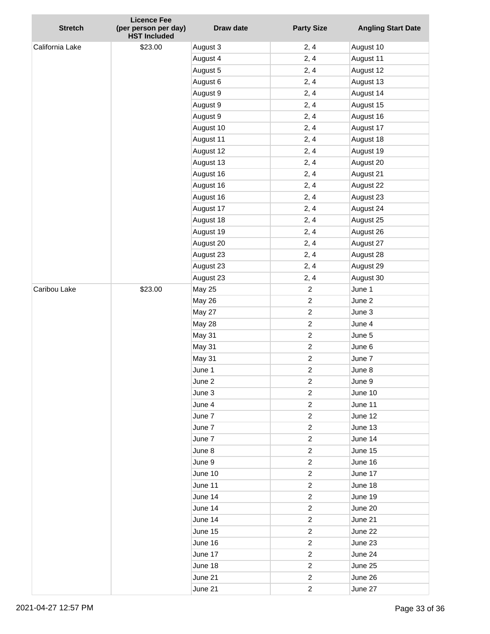| <b>Stretch</b>  | <b>Licence Fee</b><br>(per person per day) | Draw date     | <b>Party Size</b>       | <b>Angling Start Date</b> |
|-----------------|--------------------------------------------|---------------|-------------------------|---------------------------|
|                 | <b>HST Included</b>                        |               |                         |                           |
| California Lake | \$23.00                                    | August 3      | 2, 4                    | August 10                 |
|                 |                                            | August 4      | 2, 4                    | August 11                 |
|                 |                                            | August 5      | 2, 4                    | August 12                 |
|                 |                                            | August 6      | 2, 4                    | August 13                 |
|                 |                                            | August 9      | 2, 4                    | August 14                 |
|                 |                                            | August 9      | 2, 4                    | August 15                 |
|                 |                                            | August 9      | 2, 4                    | August 16                 |
|                 |                                            | August 10     | 2, 4                    | August 17                 |
|                 |                                            | August 11     | 2, 4                    | August 18                 |
|                 |                                            | August 12     | 2, 4                    | August 19                 |
|                 |                                            | August 13     | 2, 4                    | August 20                 |
|                 |                                            | August 16     | 2, 4                    | August 21                 |
|                 |                                            | August 16     | 2, 4                    | August 22                 |
|                 |                                            | August 16     | 2, 4                    | August 23                 |
|                 |                                            | August 17     | 2, 4                    | August 24                 |
|                 |                                            | August 18     | 2, 4                    | August 25                 |
|                 |                                            | August 19     | 2, 4                    | August 26                 |
|                 |                                            | August 20     | 2, 4                    | August 27                 |
|                 |                                            | August 23     | 2, 4                    | August 28                 |
|                 |                                            | August 23     | 2, 4                    | August 29                 |
|                 |                                            | August 23     | 2, 4                    | August 30                 |
| Caribou Lake    | \$23.00                                    | <b>May 25</b> | $\overline{2}$          | June 1                    |
|                 |                                            | <b>May 26</b> | $\overline{2}$          | June 2                    |
|                 |                                            | May 27        | $\overline{c}$          | June 3                    |
|                 |                                            | May 28        | $\overline{c}$          | June 4                    |
|                 |                                            | May 31        | $\overline{c}$          | June 5                    |
|                 |                                            | May 31        | $\overline{c}$          | June 6                    |
|                 |                                            | May 31        | $\overline{c}$          | June 7                    |
|                 |                                            | June 1        | $\overline{c}$          | June 8                    |
|                 |                                            | June 2        | $\overline{c}$          | June 9                    |
|                 |                                            | June 3        | 2                       | June 10                   |
|                 |                                            | June 4        | $\overline{\mathbf{c}}$ | June 11                   |
|                 |                                            | June 7        | 2                       | June 12                   |
|                 |                                            | June 7        | 2                       | June 13                   |
|                 |                                            | June 7        | $\overline{\mathbf{c}}$ | June 14                   |
|                 |                                            | June 8        | $\overline{\mathbf{c}}$ | June 15                   |
|                 |                                            | June 9        | 2                       | June 16                   |
|                 |                                            | June 10       | $\overline{\mathbf{c}}$ | June 17                   |
|                 |                                            | June 11       | $\overline{\mathbf{c}}$ | June 18                   |
|                 |                                            | June 14       | $\overline{\mathbf{c}}$ | June 19                   |
|                 |                                            | June 14       | $\overline{\mathbf{c}}$ | June 20                   |
|                 |                                            | June 14       | 2                       | June 21                   |
|                 |                                            | June 15       | $\overline{\mathbf{c}}$ | June 22                   |
|                 |                                            | June 16       | $\overline{\mathbf{c}}$ | June 23                   |
|                 |                                            | June 17       | $\overline{\mathbf{c}}$ | June 24                   |
|                 |                                            | June 18       | $\overline{\mathbf{c}}$ | June 25                   |
|                 |                                            | June 21       | $\overline{\mathbf{c}}$ | June 26                   |
|                 |                                            | June 21       | $\boldsymbol{2}$        | June 27                   |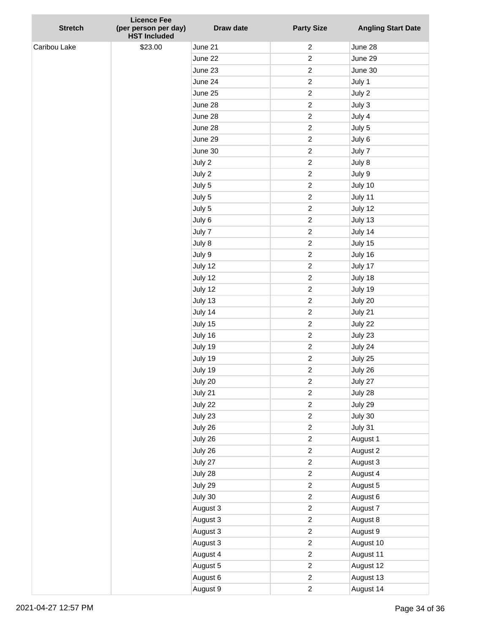| <b>Stretch</b> | <b>Licence Fee</b><br>(per person per day)<br><b>HST Included</b> | Draw date | <b>Party Size</b> | <b>Angling Start Date</b> |
|----------------|-------------------------------------------------------------------|-----------|-------------------|---------------------------|
| Caribou Lake   | \$23.00                                                           | June 21   | $\overline{c}$    | June 28                   |
|                |                                                                   | June 22   | $\overline{c}$    | June 29                   |
|                |                                                                   | June 23   | $\overline{c}$    | June 30                   |
|                |                                                                   | June 24   | $\overline{c}$    | July 1                    |
|                |                                                                   | June 25   | $\overline{c}$    | July 2                    |
|                |                                                                   | June 28   | $\overline{c}$    | July 3                    |
|                |                                                                   | June 28   | $\overline{c}$    | July 4                    |
|                |                                                                   | June 28   | $\overline{c}$    | July 5                    |
|                |                                                                   | June 29   | $\overline{c}$    | July 6                    |
|                |                                                                   | June 30   | $\overline{c}$    | July 7                    |
|                |                                                                   | July 2    | $\overline{c}$    | July 8                    |
|                |                                                                   | July 2    | $\overline{c}$    | July 9                    |
|                |                                                                   | July 5    | $\overline{c}$    | July 10                   |
|                |                                                                   | July 5    | $\overline{c}$    | July 11                   |
|                |                                                                   | July 5    | $\overline{c}$    | July 12                   |
|                |                                                                   | July 6    | $\overline{c}$    | July 13                   |
|                |                                                                   | July 7    | $\overline{c}$    | July 14                   |
|                |                                                                   | July 8    | $\overline{c}$    | July 15                   |
|                |                                                                   | July 9    | $\overline{c}$    | July 16                   |
|                |                                                                   | July 12   | $\overline{c}$    | July 17                   |
|                |                                                                   | July 12   | $\overline{c}$    | July 18                   |
|                |                                                                   | July 12   | $\overline{c}$    | July 19                   |
|                |                                                                   | July 13   | $\overline{c}$    | July 20                   |
|                |                                                                   | July 14   | $\overline{c}$    | July 21                   |
|                |                                                                   | July 15   | $\overline{c}$    | July 22                   |
|                |                                                                   | July 16   | $\overline{c}$    | July 23                   |
|                |                                                                   | July 19   | $\overline{c}$    | July 24                   |
|                |                                                                   | July 19   | $\overline{c}$    | July 25                   |
|                |                                                                   | July 19   | $\overline{c}$    | July 26                   |
|                |                                                                   | July 20   | $\overline{c}$    | July 27                   |
|                |                                                                   | July 21   | $\overline{c}$    | July 28                   |
|                |                                                                   | July 22   | $\overline{c}$    | July 29                   |
|                |                                                                   | July 23   | $\overline{c}$    | July 30                   |
|                |                                                                   | July 26   | $\overline{c}$    | July 31                   |
|                |                                                                   | July 26   | $\overline{c}$    | August 1                  |
|                |                                                                   | July 26   | $\overline{c}$    | August 2                  |
|                |                                                                   | July 27   | $\overline{c}$    | August 3                  |
|                |                                                                   | July 28   | $\overline{c}$    | August 4                  |
|                |                                                                   | July 29   | $\overline{c}$    | August 5                  |
|                |                                                                   | July 30   | $\overline{c}$    | August 6                  |
|                |                                                                   | August 3  | $\overline{c}$    | August 7                  |
|                |                                                                   | August 3  | $\overline{c}$    | August 8                  |
|                |                                                                   | August 3  | $\overline{c}$    | August 9                  |
|                |                                                                   | August 3  | $\overline{c}$    | August 10                 |
|                |                                                                   | August 4  | $\overline{c}$    | August 11                 |
|                |                                                                   | August 5  | $\overline{c}$    | August 12                 |
|                |                                                                   | August 6  | $\overline{c}$    | August 13                 |
|                |                                                                   | August 9  | $\overline{c}$    | August 14                 |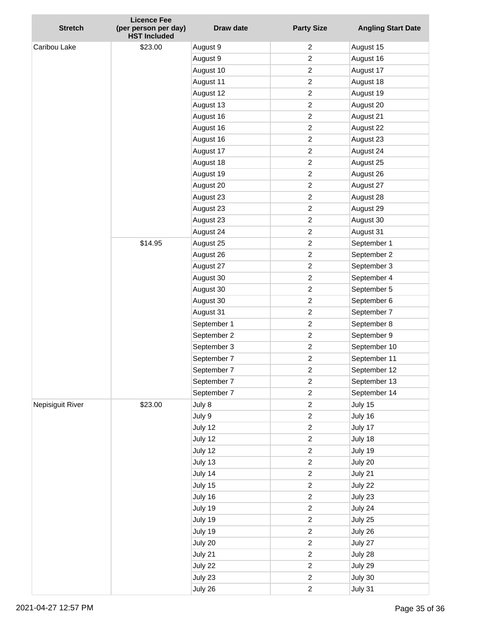| <b>Stretch</b>   | <b>Licence Fee</b>                          | Draw date   | <b>Party Size</b>       | <b>Angling Start Date</b> |
|------------------|---------------------------------------------|-------------|-------------------------|---------------------------|
|                  | (per person per day)<br><b>HST Included</b> |             |                         |                           |
| Caribou Lake     | \$23.00                                     | August 9    | 2                       | August 15                 |
|                  |                                             | August 9    | $\overline{c}$          | August 16                 |
|                  |                                             | August 10   | $\overline{c}$          | August 17                 |
|                  |                                             | August 11   | $\overline{c}$          | August 18                 |
|                  |                                             | August 12   | $\overline{c}$          | August 19                 |
|                  |                                             | August 13   | $\overline{c}$          | August 20                 |
|                  |                                             | August 16   | $\overline{c}$          | August 21                 |
|                  |                                             | August 16   | $\overline{c}$          | August 22                 |
|                  |                                             | August 16   | $\overline{c}$          | August 23                 |
|                  |                                             | August 17   | $\overline{c}$          | August 24                 |
|                  |                                             | August 18   | $\overline{c}$          | August 25                 |
|                  |                                             | August 19   | $\overline{c}$          | August 26                 |
|                  |                                             | August 20   | $\overline{c}$          | August 27                 |
|                  |                                             | August 23   | $\overline{c}$          | August 28                 |
|                  |                                             | August 23   | $\overline{c}$          | August 29                 |
|                  |                                             | August 23   | $\overline{c}$          | August 30                 |
|                  |                                             | August 24   | $\overline{c}$          | August 31                 |
|                  | \$14.95                                     | August 25   | $\overline{c}$          | September 1               |
|                  |                                             | August 26   | $\overline{c}$          | September 2               |
|                  |                                             | August 27   | $\overline{c}$          | September 3               |
|                  |                                             | August 30   | $\overline{c}$          | September 4               |
|                  |                                             | August 30   | $\overline{c}$          | September 5               |
|                  |                                             | August 30   | $\overline{c}$          | September 6               |
|                  |                                             | August 31   | $\overline{c}$          | September 7               |
|                  |                                             | September 1 | $\overline{c}$          | September 8               |
|                  |                                             | September 2 | $\overline{c}$          | September 9               |
|                  |                                             | September 3 | $\overline{c}$          | September 10              |
|                  |                                             | September 7 | $\overline{c}$          | September 11              |
|                  |                                             | September 7 | $\overline{c}$          | September 12              |
|                  |                                             | September 7 | $\overline{c}$          | September 13              |
|                  |                                             | September 7 | $\overline{c}$          | September 14              |
| Nepisiguit River | \$23.00                                     | July 8      | $\overline{c}$          | July 15                   |
|                  |                                             | July 9      | $\overline{c}$          | July 16                   |
|                  |                                             | July 12     | $\overline{c}$          | July 17                   |
|                  |                                             | July 12     | $\overline{c}$          | July 18                   |
|                  |                                             | July 12     | $\overline{c}$          | July 19                   |
|                  |                                             | July 13     | $\overline{c}$          | July 20                   |
|                  |                                             | July 14     | $\overline{c}$          | July 21                   |
|                  |                                             | July 15     | $\overline{c}$          | July 22                   |
|                  |                                             | July 16     | $\overline{c}$          | July 23                   |
|                  |                                             | July 19     | $\overline{\mathbf{c}}$ | July 24                   |
|                  |                                             | July 19     | $\overline{c}$          | July 25                   |
|                  |                                             | July 19     | $\overline{c}$          | July 26                   |
|                  |                                             | July 20     | $\overline{c}$          | July 27                   |
|                  |                                             | July 21     | $\overline{c}$          | July 28                   |
|                  |                                             | July 22     | $\overline{c}$          | July 29                   |
|                  |                                             | July 23     | $\overline{c}$          | July 30                   |
|                  |                                             | July 26     | $\overline{c}$          | July 31                   |